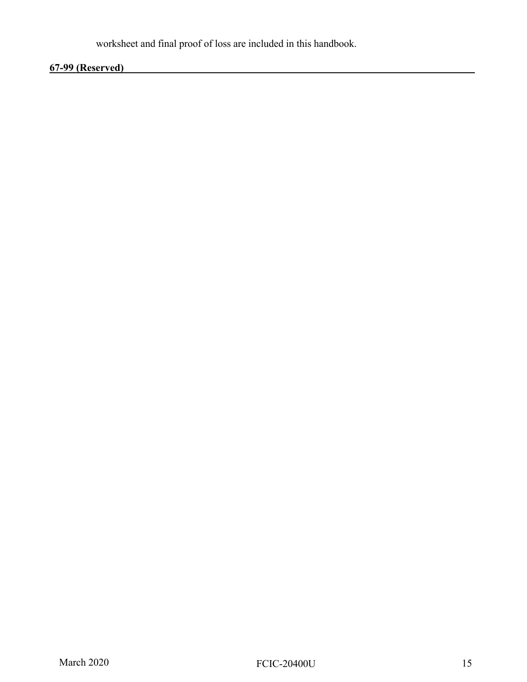worksheet and final proof of loss are included in this handbook.

## **67-99 (Reserved)\_\_\_\_\_\_\_\_\_\_\_\_\_\_\_\_\_\_\_\_\_\_\_\_\_\_\_\_\_\_\_\_\_\_\_\_\_\_\_\_\_\_\_\_\_\_\_\_\_\_\_\_\_\_\_\_\_\_\_\_\_\_\_\_\_\_\_\_**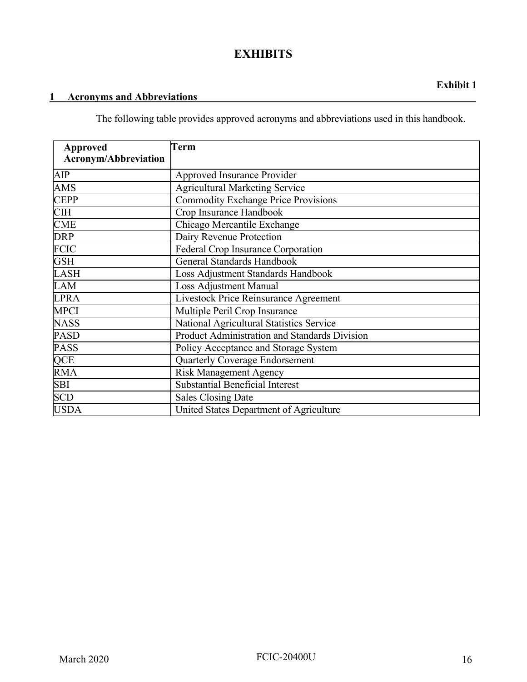### **EXHIBITS**

#### 1 **Acronyms and Abbreviations**

The following table provides approved acronyms and abbreviations used in this handbook.

| <b>Approved</b>             | Term                                          |
|-----------------------------|-----------------------------------------------|
| <b>Acronym/Abbreviation</b> |                                               |
| AIP                         | Approved Insurance Provider                   |
| <b>AMS</b>                  | <b>Agricultural Marketing Service</b>         |
| <b>CEPP</b>                 | <b>Commodity Exchange Price Provisions</b>    |
| <b>CIH</b>                  | Crop Insurance Handbook                       |
| <b>CME</b>                  | Chicago Mercantile Exchange                   |
| <b>DRP</b>                  | Dairy Revenue Protection                      |
| <b>FCIC</b>                 | <b>Federal Crop Insurance Corporation</b>     |
| <b>GSH</b>                  | General Standards Handbook                    |
| <b>LASH</b>                 | Loss Adjustment Standards Handbook            |
| LAM                         | <b>Loss Adjustment Manual</b>                 |
| <b>LPRA</b>                 | Livestock Price Reinsurance Agreement         |
| <b>MPCI</b>                 | Multiple Peril Crop Insurance                 |
| <b>NASS</b>                 | National Agricultural Statistics Service      |
| <b>PASD</b>                 | Product Administration and Standards Division |
| <b>PASS</b>                 | Policy Acceptance and Storage System          |
| QCE                         | <b>Quarterly Coverage Endorsement</b>         |
| <b>RMA</b>                  | <b>Risk Management Agency</b>                 |
| <b>SBI</b>                  | <b>Substantial Beneficial Interest</b>        |
| <b>SCD</b>                  | <b>Sales Closing Date</b>                     |
| <b>USDA</b>                 | United States Department of Agriculture       |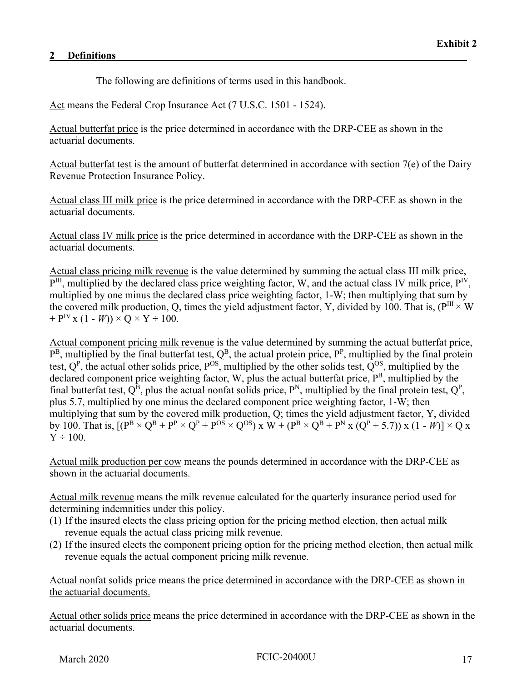The following are definitions of terms used in this handbook.

Act means the Federal Crop Insurance Act (7 U.S.C. 1501 - 1524).

Actual butterfat price is the price determined in accordance with the DRP-CEE as shown in the actuarial documents.

Actual butterfat test is the amount of butterfat determined in accordance with section 7(e) of the Dairy Revenue Protection Insurance Policy.

Actual class III milk price is the price determined in accordance with the DRP-CEE as shown in the actuarial documents.

Actual class IV milk price is the price determined in accordance with the DRP-CEE as shown in the actuarial documents.

Actual class pricing milk revenue is the value determined by summing the actual class III milk price,  $P^{III}$ , multiplied by the declared class price weighting factor, W, and the actual class IV milk price,  $P^{IV}$ , multiplied by one minus the declared class price weighting factor, 1-W; then multiplying that sum by the covered milk production, Q, times the yield adjustment factor, Y, divided by 100. That is, ( $P^{III} \times W$ )  $+ P^{IV}$  x (1 - *W*))  $\times$  Q  $\times$  Y  $\div$  100.

Actual component pricing milk revenue is the value determined by summing the actual butterfat price,  $P^B$ , multiplied by the final butterfat test,  $Q^B$ , the actual protein price,  $P^P$ , multiplied by the final protein test,  $Q^P$ , the actual other solids price,  $P^{OS}$ , multiplied by the other solids test,  $Q^{OS}$ , multiplied by the declared component price weighting factor, W, plus the actual butterfat price, P<sup>B</sup>, multiplied by the final butterfat test,  $Q^B$ , plus the actual nonfat solids price,  $P^N$ , multiplied by the final protein test,  $Q^P$ , plus 5.7, multiplied by one minus the declared component price weighting factor, 1-W; then multiplying that sum by the covered milk production, Q; times the yield adjustment factor, Y, divided by 100. That is,  $[(P^{B} \times Q^{B} + P^{P} \times Q^{P} + P^{OS} \times Q^{OS}) \times W + (P^{B} \times Q^{B} + P^{N} \times (Q^{P} + 5.7)) \times (1 - W)] \times Q \times$  $Y \div 100.$ 

Actual milk production per cow means the pounds determined in accordance with the DRP-CEE as shown in the actuarial documents.

Actual milk revenue means the milk revenue calculated for the quarterly insurance period used for determining indemnities under this policy.

- (1) If the insured elects the class pricing option for the pricing method election, then actual milk revenue equals the actual class pricing milk revenue.
- (2) If the insured elects the component pricing option for the pricing method election, then actual milk revenue equals the actual component pricing milk revenue.

Actual nonfat solids price means the price determined in accordance with the DRP-CEE as shown in the actuarial documents.

Actual other solids price means the price determined in accordance with the DRP-CEE as shown in the actuarial documents.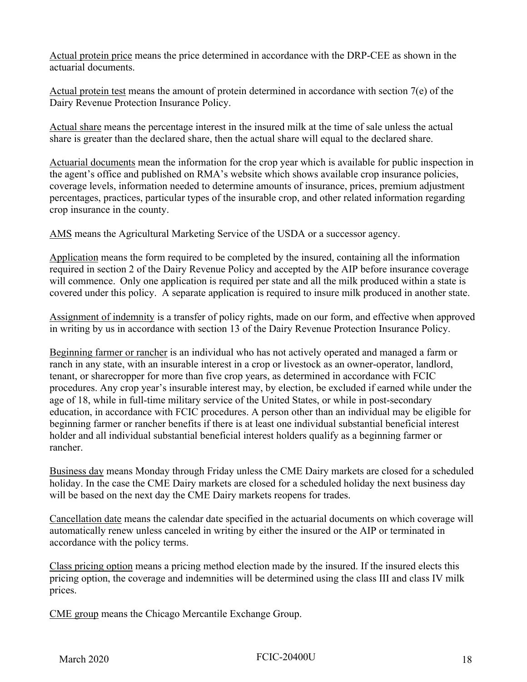Actual protein price means the price determined in accordance with the DRP-CEE as shown in the actuarial documents.

Actual protein test means the amount of protein determined in accordance with section 7(e) of the Dairy Revenue Protection Insurance Policy.

Actual share means the percentage interest in the insured milk at the time of sale unless the actual share is greater than the declared share, then the actual share will equal to the declared share.

Actuarial documents mean the information for the crop year which is available for public inspection in the agent's office and published on RMA's website which shows available crop insurance policies, coverage levels, information needed to determine amounts of insurance, prices, premium adjustment percentages, practices, particular types of the insurable crop, and other related information regarding crop insurance in the county.

AMS means the Agricultural Marketing Service of the USDA or a successor agency.

Application means the form required to be completed by the insured, containing all the information required in section 2 of the Dairy Revenue Policy and accepted by the AIP before insurance coverage will commence. Only one application is required per state and all the milk produced within a state is covered under this policy. A separate application is required to insure milk produced in another state.

Assignment of indemnity is a transfer of policy rights, made on our form, and effective when approved in writing by us in accordance with section 13 of the Dairy Revenue Protection Insurance Policy.

Beginning farmer or rancher is an individual who has not actively operated and managed a farm or ranch in any state, with an insurable interest in a crop or livestock as an owner-operator, landlord, tenant, or sharecropper for more than five crop years, as determined in accordance with FCIC procedures. Any crop year's insurable interest may, by election, be excluded if earned while under the age of 18, while in full-time military service of the United States, or while in post-secondary education, in accordance with FCIC procedures. A person other than an individual may be eligible for beginning farmer or rancher benefits if there is at least one individual substantial beneficial interest holder and all individual substantial beneficial interest holders qualify as a beginning farmer or rancher.

Business day means Monday through Friday unless the CME Dairy markets are closed for a scheduled holiday. In the case the CME Dairy markets are closed for a scheduled holiday the next business day will be based on the next day the CME Dairy markets reopens for trades.

Cancellation date means the calendar date specified in the actuarial documents on which coverage will automatically renew unless canceled in writing by either the insured or the AIP or terminated in accordance with the policy terms.

Class pricing option means a pricing method election made by the insured. If the insured elects this pricing option, the coverage and indemnities will be determined using the class III and class IV milk prices.

CME group means the Chicago Mercantile Exchange Group.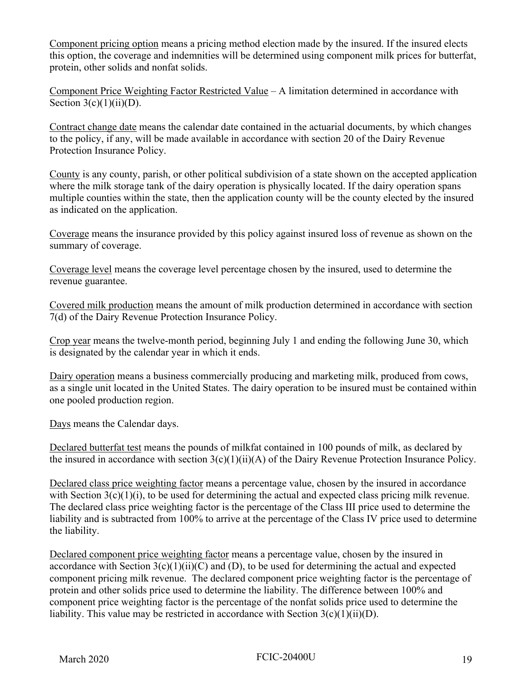Component pricing option means a pricing method election made by the insured. If the insured elects this option, the coverage and indemnities will be determined using component milk prices for butterfat, protein, other solids and nonfat solids.

Component Price Weighting Factor Restricted Value – A limitation determined in accordance with Section  $3(c)(1)(ii)(D)$ .

Contract change date means the calendar date contained in the actuarial documents, by which changes to the policy, if any, will be made available in accordance with section 20 of the Dairy Revenue Protection Insurance Policy.

County is any county, parish, or other political subdivision of a state shown on the accepted application where the milk storage tank of the dairy operation is physically located. If the dairy operation spans multiple counties within the state, then the application county will be the county elected by the insured as indicated on the application.

Coverage means the insurance provided by this policy against insured loss of revenue as shown on the summary of coverage.

Coverage level means the coverage level percentage chosen by the insured, used to determine the revenue guarantee.

Covered milk production means the amount of milk production determined in accordance with section 7(d) of the Dairy Revenue Protection Insurance Policy.

Crop year means the twelve-month period, beginning July 1 and ending the following June 30, which is designated by the calendar year in which it ends.

Dairy operation means a business commercially producing and marketing milk, produced from cows, as a single unit located in the United States. The dairy operation to be insured must be contained within one pooled production region.

Days means the Calendar days.

Declared butterfat test means the pounds of milkfat contained in 100 pounds of milk, as declared by the insured in accordance with section  $3(c)(1)(ii)(A)$  of the Dairy Revenue Protection Insurance Policy.

Declared class price weighting factor means a percentage value, chosen by the insured in accordance with Section  $3(c)(1)(i)$ , to be used for determining the actual and expected class pricing milk revenue. The declared class price weighting factor is the percentage of the Class III price used to determine the liability and is subtracted from 100% to arrive at the percentage of the Class IV price used to determine the liability.

Declared component price weighting factor means a percentage value, chosen by the insured in accordance with Section  $3(c)(1)(ii)(C)$  and (D), to be used for determining the actual and expected component pricing milk revenue. The declared component price weighting factor is the percentage of protein and other solids price used to determine the liability. The difference between 100% and component price weighting factor is the percentage of the nonfat solids price used to determine the liability. This value may be restricted in accordance with Section  $3(c)(1)(ii)(D)$ .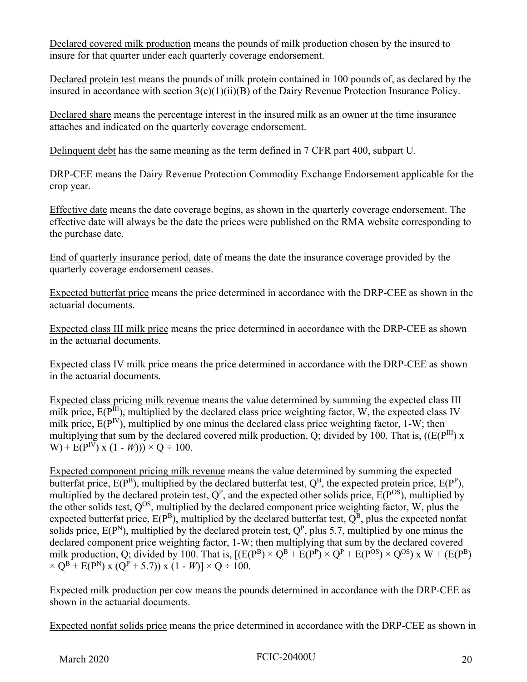Declared covered milk production means the pounds of milk production chosen by the insured to insure for that quarter under each quarterly coverage endorsement.

Declared protein test means the pounds of milk protein contained in 100 pounds of, as declared by the insured in accordance with section 3(c)(1)(ii)(B) of the Dairy Revenue Protection Insurance Policy.

Declared share means the percentage interest in the insured milk as an owner at the time insurance attaches and indicated on the quarterly coverage endorsement.

Delinquent debt has the same meaning as the term defined in 7 CFR part 400, subpart U.

DRP-CEE means the Dairy Revenue Protection Commodity Exchange Endorsement applicable for the crop year.

Effective date means the date coverage begins, as shown in the quarterly coverage endorsement. The effective date will always be the date the prices were published on the RMA website corresponding to the purchase date.

End of quarterly insurance period, date of means the date the insurance coverage provided by the quarterly coverage endorsement ceases.

Expected butterfat price means the price determined in accordance with the DRP-CEE as shown in the actuarial documents.

Expected class III milk price means the price determined in accordance with the DRP-CEE as shown in the actuarial documents.

Expected class IV milk price means the price determined in accordance with the DRP-CEE as shown in the actuarial documents.

Expected class pricing milk revenue means the value determined by summing the expected class III milk price,  $E(P^{III})$ , multiplied by the declared class price weighting factor, W, the expected class IV milk price,  $E(P<sup>IV</sup>)$ , multiplied by one minus the declared class price weighting factor, 1-W; then multiplying that sum by the declared covered milk production, Q; divided by 100. That is,  $((E(P^{III}) x)$ W) +  $E(P^{IV})$  x (1 - *W*))) × Q ÷ 100.

Expected component pricing milk revenue means the value determined by summing the expected butterfat price,  $E(P^B)$ , multiplied by the declared butterfat test,  $Q^B$ , the expected protein price,  $E(P^P)$ , multiplied by the declared protein test,  $Q^P$ , and the expected other solids price,  $E(P^{OS})$ , multiplied by the other solids test,  $Q^{OS}$ , multiplied by the declared component price weighting factor, W, plus the expected butterfat price,  $E(P^B)$ , multiplied by the declared butterfat test,  $Q^B$ , plus the expected nonfat solids price,  $E(P^N)$ , multiplied by the declared protein test,  $Q^P$ , plus 5.7, multiplied by one minus the declared component price weighting factor, 1-W; then multiplying that sum by the declared covered milk production, Q; divided by 100. That is,  $[(E(P^B) \times Q^B + E(P^P) \times Q^P + E(P^{OS}) \times Q^{OS}) \times W + (E(P^B) \times Q^{OS}) \times W]$  $\times Q^{B} + E(P^{N}) \times (Q^{P} + 5.7) \times (1 - W) \times Q \div 100.$ 

Expected milk production per cow means the pounds determined in accordance with the DRP-CEE as shown in the actuarial documents.

Expected nonfat solids price means the price determined in accordance with the DRP-CEE as shown in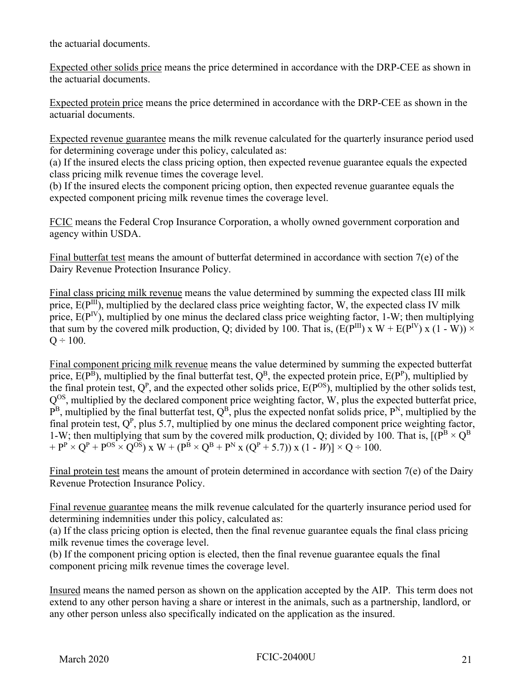the actuarial documents.

Expected other solids price means the price determined in accordance with the DRP-CEE as shown in the actuarial documents.

Expected protein price means the price determined in accordance with the DRP-CEE as shown in the actuarial documents.

Expected revenue guarantee means the milk revenue calculated for the quarterly insurance period used for determining coverage under this policy, calculated as:

(a) If the insured elects the class pricing option, then expected revenue guarantee equals the expected class pricing milk revenue times the coverage level.

(b) If the insured elects the component pricing option, then expected revenue guarantee equals the expected component pricing milk revenue times the coverage level.

FCIC means the Federal Crop Insurance Corporation, a wholly owned government corporation and agency within USDA.

Final butterfat test means the amount of butterfat determined in accordance with section 7(e) of the Dairy Revenue Protection Insurance Policy.

Final class pricing milk revenue means the value determined by summing the expected class III milk price,  $E(P^{III})$ , multiplied by the declared class price weighting factor, W, the expected class IV milk price,  $E(P^{IV})$ , multiplied by one minus the declared class price weighting factor, 1-W; then multiplying that sum by the covered milk production, Q; divided by 100. That is,  $(E(P^{III}) \times W + E(P^{IV}) \times (1 - W)) \times$  $Q \div 100$ .

Final component pricing milk revenue means the value determined by summing the expected butterfat price,  $E(P^B)$ , multiplied by the final butterfat test,  $Q^B$ , the expected protein price,  $E(P^P)$ , multiplied by the final protein test,  $Q^P$ , and the expected other solids price,  $E(P^{OS})$ , multiplied by the other solids test,  $Q^{OS}$ , multiplied by the declared component price weighting factor, W, plus the expected butterfat price,  $P^{B}$ , multiplied by the final butterfat test,  $Q^{B}$ , plus the expected nonfat solids price,  $P^{N}$ , multiplied by the final protein test,  $Q<sup>P</sup>$ , plus 5.7, multiplied by one minus the declared component price weighting factor, 1-W; then multiplying that sum by the covered milk production, Q; divided by 100. That is,  $[(P^{B} \times Q^{B})]$  $+ P^P \times Q^P + P^{OS} \times Q^{OS}$  x W + ( $P^B \times Q^B + P^N$  x ( $Q^P + 5.7$ )) x (1 - *W*)]  $\times Q \div 100$ .

Final protein test means the amount of protein determined in accordance with section 7(e) of the Dairy Revenue Protection Insurance Policy.

Final revenue guarantee means the milk revenue calculated for the quarterly insurance period used for determining indemnities under this policy, calculated as:

(a) If the class pricing option is elected, then the final revenue guarantee equals the final class pricing milk revenue times the coverage level.

(b) If the component pricing option is elected, then the final revenue guarantee equals the final component pricing milk revenue times the coverage level.

Insured means the named person as shown on the application accepted by the AIP. This term does not extend to any other person having a share or interest in the animals, such as a partnership, landlord, or any other person unless also specifically indicated on the application as the insured.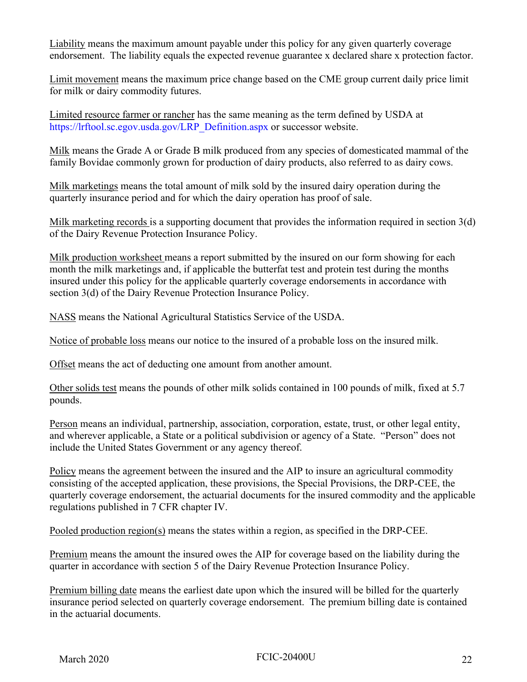Liability means the maximum amount payable under this policy for any given quarterly coverage endorsement. The liability equals the expected revenue guarantee x declared share x protection factor.

Limit movement means the maximum price change based on the CME group current daily price limit for milk or dairy commodity futures.

Limited resource farmer or rancher has the same meaning as the term defined by USDA at [https://lrftool.sc.egov.usda.gov/LRP\\_Definition.aspx](https://lrftool.sc.egov.usda.gov/LRP_Definition.aspx) or successor website.

Milk means the Grade A or Grade B milk produced from any species of domesticated mammal of the family Bovidae commonly grown for production of dairy products, also referred to as dairy cows.

Milk marketings means the total amount of milk sold by the insured dairy operation during the quarterly insurance period and for which the dairy operation has proof of sale.

Milk marketing records is a supporting document that provides the information required in section 3(d) of the Dairy Revenue Protection Insurance Policy.

Milk production worksheet means a report submitted by the insured on our form showing for each month the milk marketings and, if applicable the butterfat test and protein test during the months insured under this policy for the applicable quarterly coverage endorsements in accordance with section 3(d) of the Dairy Revenue Protection Insurance Policy.

NASS means the National Agricultural Statistics Service of the USDA.

Notice of probable loss means our notice to the insured of a probable loss on the insured milk.

Offset means the act of deducting one amount from another amount.

Other solids test means the pounds of other milk solids contained in 100 pounds of milk, fixed at 5.7 pounds.

Person means an individual, partnership, association, corporation, estate, trust, or other legal entity, and wherever applicable, a State or a political subdivision or agency of a State. "Person" does not include the United States Government or any agency thereof.

Policy means the agreement between the insured and the AIP to insure an agricultural commodity consisting of the accepted application, these provisions, the Special Provisions, the DRP-CEE, the quarterly coverage endorsement, the actuarial documents for the insured commodity and the applicable regulations published in 7 CFR chapter IV.

Pooled production region(s) means the states within a region, as specified in the DRP-CEE.

Premium means the amount the insured owes the AIP for coverage based on the liability during the quarter in accordance with section 5 of the Dairy Revenue Protection Insurance Policy.

Premium billing date means the earliest date upon which the insured will be billed for the quarterly insurance period selected on quarterly coverage endorsement. The premium billing date is contained in the actuarial documents.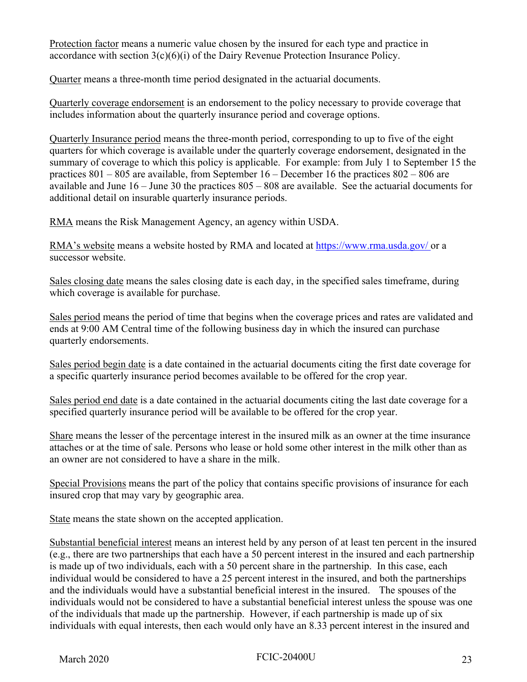Protection factor means a numeric value chosen by the insured for each type and practice in accordance with section  $3(c)(6)(i)$  of the Dairy Revenue Protection Insurance Policy.

Quarter means a three-month time period designated in the actuarial documents.

Quarterly coverage endorsement is an endorsement to the policy necessary to provide coverage that includes information about the quarterly insurance period and coverage options.

Quarterly Insurance period means the three-month period, corresponding to up to five of the eight quarters for which coverage is available under the quarterly coverage endorsement, designated in the summary of coverage to which this policy is applicable. For example: from July 1 to September 15 the practices 801 – 805 are available, from September 16 – December 16 the practices 802 – 806 are available and June 16 – June 30 the practices 805 – 808 are available. See the actuarial documents for additional detail on insurable quarterly insurance periods.

RMA means the Risk Management Agency, an agency within USDA.

RMA's website means a website hosted by RMA and located at<https://www.rma.usda.gov>/ or a successor website.

Sales closing date means the sales closing date is each day, in the specified sales timeframe, during which coverage is available for purchase.

Sales period means the period of time that begins when the coverage prices and rates are validated and ends at 9:00 AM Central time of the following business day in which the insured can purchase quarterly endorsements.

Sales period begin date is a date contained in the actuarial documents citing the first date coverage for a specific quarterly insurance period becomes available to be offered for the crop year.

Sales period end date is a date contained in the actuarial documents citing the last date coverage for a specified quarterly insurance period will be available to be offered for the crop year.

Share means the lesser of the percentage interest in the insured milk as an owner at the time insurance attaches or at the time of sale. Persons who lease or hold some other interest in the milk other than as an owner are not considered to have a share in the milk.

Special Provisions means the part of the policy that contains specific provisions of insurance for each insured crop that may vary by geographic area.

State means the state shown on the accepted application.

Substantial beneficial interest means an interest held by any person of at least ten percent in the insured (e.g., there are two partnerships that each have a 50 percent interest in the insured and each partnership is made up of two individuals, each with a 50 percent share in the partnership. In this case, each individual would be considered to have a 25 percent interest in the insured, and both the partnerships and the individuals would have a substantial beneficial interest in the insured. The spouses of the individuals would not be considered to have a substantial beneficial interest unless the spouse was one of the individuals that made up the partnership. However, if each partnership is made up of six individuals with equal interests, then each would only have an 8.33 percent interest in the insured and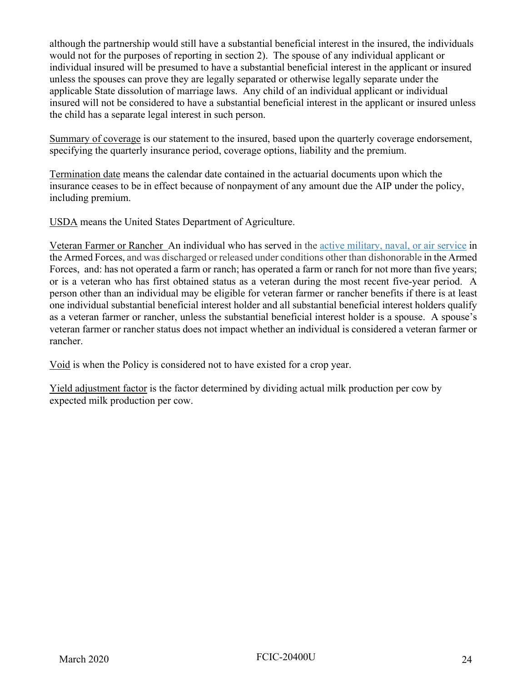although the partnership would still have a substantial beneficial interest in the insured, the individuals would not for the purposes of reporting in section 2). The spouse of any individual applicant or individual insured will be presumed to have a substantial beneficial interest in the applicant or insured unless the spouses can prove they are legally separated or otherwise legally separate under the applicable State dissolution of marriage laws. Any child of an individual applicant or individual insured will not be considered to have a substantial beneficial interest in the applicant or insured unless the child has a separate legal interest in such person.

Summary of coverage is our statement to the insured, based upon the quarterly coverage endorsement, specifying the quarterly insurance period, coverage options, liability and the premium.

Termination date means the calendar date contained in the actuarial documents upon which the insurance ceases to be in effect because of nonpayment of any amount due the AIP under the policy, including premium.

USDA means the United States Department of Agriculture.

Veteran Farmer or Rancher An individual who has served in the active military, naval, or air service in the Armed Forces, and was discharged or released under conditions other than dishonorable in the Armed Forces, and: has not operated a farm or ranch; has operated a farm or ranch for not more than five years; or is a veteran who has first obtained status as a veteran during the most recent five-year period. A person other than an individual may be eligible for veteran farmer or rancher benefits if there is at least one individual substantial beneficial interest holder and all substantial beneficial interest holders qualify as a veteran farmer or rancher, unless the substantial beneficial interest holder is a spouse. A spouse's veteran farmer or rancher status does not impact whether an individual is considered a veteran farmer or rancher.

Void is when the Policy is considered not to have existed for a crop year.

Yield adjustment factor is the factor determined by dividing actual milk production per cow by expected milk production per cow.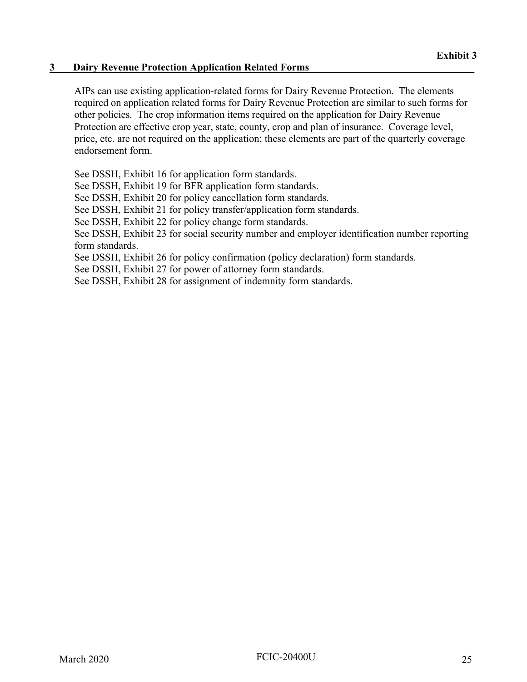#### **3 Dairy Revenue Protection Application Related Forms**

AIPs can use existing application-related forms for Dairy Revenue Protection. The elements required on application related forms for Dairy Revenue Protection are similar to such forms for other policies. The crop information items required on the application for Dairy Revenue Protection are effective crop year, state, county, crop and plan of insurance. Coverage level, price, etc. are not required on the application; these elements are part of the quarterly coverage endorsement form.

See DSSH, Exhibit 16 for application form standards.

See DSSH, Exhibit 19 for BFR application form standards.

See DSSH, Exhibit 20 for policy cancellation form standards.

See DSSH, Exhibit 21 for policy transfer/application form standards.

See DSSH, Exhibit 22 for policy change form standards.

See DSSH, Exhibit 23 for social security number and employer identification number reporting form standards.

See DSSH, Exhibit 26 for policy confirmation (policy declaration) form standards.

See DSSH, Exhibit 27 for power of attorney form standards.

See DSSH, Exhibit 28 for assignment of indemnity form standards.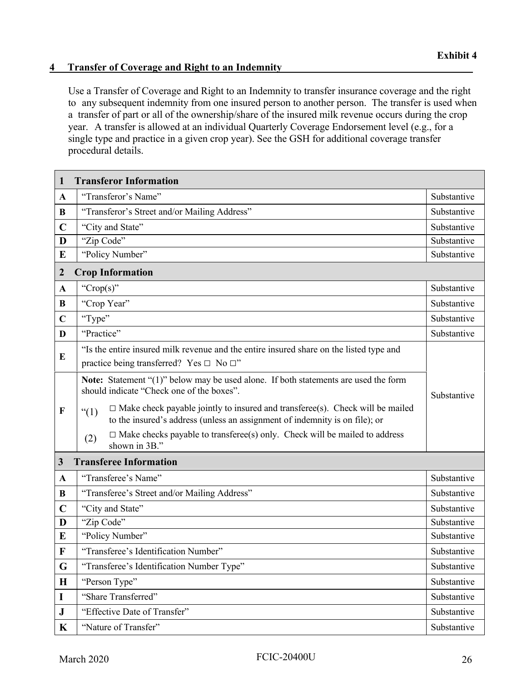#### **4 Transfer of Coverage and Right to an Indemnity\_\_\_\_\_\_\_\_\_\_\_\_\_\_\_\_\_\_\_\_\_\_\_\_\_\_\_\_\_\_\_\_\_\_\_\_\_**

Use a Transfer of Coverage and Right to an Indemnity to transfer insurance coverage and the right to any subsequent indemnity from one insured person to another person. The transfer is used when a transfer of part or all of the ownership/share of the insured milk revenue occurs during the crop year. A transfer is allowed at an individual Quarterly Coverage Endorsement level (e.g., for a single type and practice in a given crop year). See the GSH for additional coverage transfer procedural details.

| 1                | <b>Transferor Information</b>                                                                                                                                                |             |
|------------------|------------------------------------------------------------------------------------------------------------------------------------------------------------------------------|-------------|
| $\mathbf{A}$     | "Transferor's Name"                                                                                                                                                          | Substantive |
| B                | "Transferor's Street and/or Mailing Address"                                                                                                                                 | Substantive |
| $\mathbf C$      | "City and State"                                                                                                                                                             | Substantive |
| D                | "Zip Code"                                                                                                                                                                   | Substantive |
| E                | "Policy Number"                                                                                                                                                              | Substantive |
| $\boldsymbol{2}$ | <b>Crop Information</b>                                                                                                                                                      |             |
| $\mathbf{A}$     | "Crop(s)"                                                                                                                                                                    | Substantive |
| B                | "Crop Year"                                                                                                                                                                  | Substantive |
| $\mathbf C$      | "Type"                                                                                                                                                                       | Substantive |
| D                | "Practice"                                                                                                                                                                   | Substantive |
| E                | "Is the entire insured milk revenue and the entire insured share on the listed type and<br>practice being transferred? Yes $\Box$ No $\Box$ "                                |             |
|                  | Note: Statement "(1)" below may be used alone. If both statements are used the form<br>should indicate "Check one of the boxes".                                             | Substantive |
| $\mathbf F$      | $\Box$ Make check payable jointly to insured and transferee(s). Check will be mailed<br>``(1)<br>to the insured's address (unless an assignment of indemnity is on file); or |             |
|                  | $\Box$ Make checks payable to transferee(s) only. Check will be mailed to address<br>(2)<br>shown in 3B."                                                                    |             |
| $\mathbf{3}$     | <b>Transferee Information</b>                                                                                                                                                |             |
| $\mathbf{A}$     | "Transferee's Name"                                                                                                                                                          | Substantive |
| B                | "Transferee's Street and/or Mailing Address"                                                                                                                                 | Substantive |
| $\mathbf C$      | "City and State"                                                                                                                                                             | Substantive |
| D                | "Zip Code"                                                                                                                                                                   | Substantive |
| E                | "Policy Number"                                                                                                                                                              | Substantive |
| F                | "Transferee's Identification Number"                                                                                                                                         | Substantive |
| G                | "Transferee's Identification Number Type"                                                                                                                                    | Substantive |
| $\bf H$          | "Person Type"                                                                                                                                                                | Substantive |
| I                | "Share Transferred"                                                                                                                                                          | Substantive |
| $\bf J$          | "Effective Date of Transfer"                                                                                                                                                 | Substantive |
| $\mathbf K$      | "Nature of Transfer"                                                                                                                                                         | Substantive |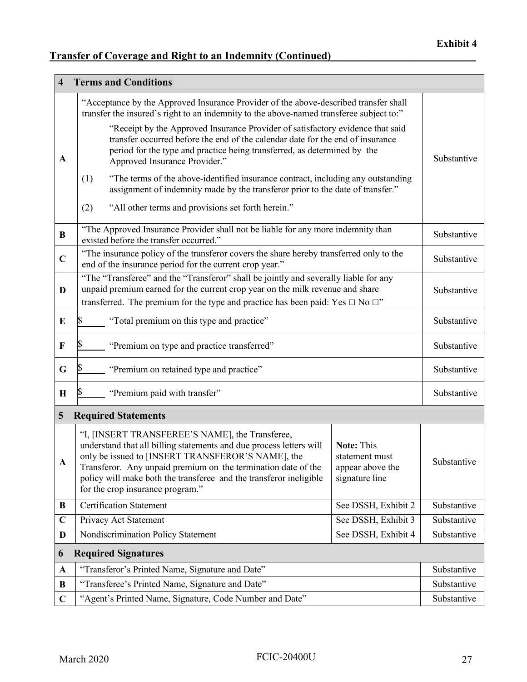## **Transfer of Coverage and Right to an Indemnity (Continued)\_\_\_\_\_\_\_\_\_\_\_\_\_\_\_\_\_\_\_\_\_\_\_\_\_\_\_**

| $\overline{\mathbf{4}}$ | <b>Terms and Conditions</b>                                                                                                                                                                                                                                                                                                                            |                                                                    |             |
|-------------------------|--------------------------------------------------------------------------------------------------------------------------------------------------------------------------------------------------------------------------------------------------------------------------------------------------------------------------------------------------------|--------------------------------------------------------------------|-------------|
|                         | "Acceptance by the Approved Insurance Provider of the above-described transfer shall<br>transfer the insured's right to an indemnity to the above-named transferee subject to:"                                                                                                                                                                        |                                                                    |             |
| A                       | "Receipt by the Approved Insurance Provider of satisfactory evidence that said<br>transfer occurred before the end of the calendar date for the end of insurance<br>period for the type and practice being transferred, as determined by the<br>Approved Insurance Provider."                                                                          |                                                                    | Substantive |
|                         | "The terms of the above-identified insurance contract, including any outstanding<br>(1)<br>assignment of indemnity made by the transferor prior to the date of transfer."                                                                                                                                                                              |                                                                    |             |
|                         | "All other terms and provisions set forth herein."<br>(2)                                                                                                                                                                                                                                                                                              |                                                                    |             |
| B                       | "The Approved Insurance Provider shall not be liable for any more indemnity than<br>existed before the transfer occurred."                                                                                                                                                                                                                             |                                                                    | Substantive |
| $\mathbf C$             | "The insurance policy of the transferor covers the share hereby transferred only to the<br>end of the insurance period for the current crop year."                                                                                                                                                                                                     |                                                                    | Substantive |
| D                       | "The "Transferee" and the "Transferor" shall be jointly and severally liable for any<br>unpaid premium earned for the current crop year on the milk revenue and share<br>transferred. The premium for the type and practice has been paid: Yes $\Box$ No $\Box$ "                                                                                      |                                                                    | Substantive |
| E                       | "Total premium on this type and practice"                                                                                                                                                                                                                                                                                                              |                                                                    | Substantive |
| F                       | "Premium on type and practice transferred"                                                                                                                                                                                                                                                                                                             |                                                                    | Substantive |
| G                       | "Premium on retained type and practice"                                                                                                                                                                                                                                                                                                                |                                                                    | Substantive |
| $\mathbf H$             | "Premium paid with transfer"                                                                                                                                                                                                                                                                                                                           |                                                                    | Substantive |
| 5                       | <b>Required Statements</b>                                                                                                                                                                                                                                                                                                                             |                                                                    |             |
| A                       | "I, [INSERT TRANSFEREE'S NAME], the Transferee,<br>understand that all billing statements and due process letters will<br>only be issued to [INSERT TRANSFEROR'S NAME], the<br>Transferor. Any unpaid premium on the termination date of the<br>policy will make both the transferee and the transferor ineligible<br>for the crop insurance program." | Note: This<br>statement must<br>appear above the<br>signature line | Substantive |
| B                       | <b>Certification Statement</b>                                                                                                                                                                                                                                                                                                                         | See DSSH, Exhibit 2                                                | Substantive |
| $\mathbf C$             | Privacy Act Statement                                                                                                                                                                                                                                                                                                                                  | See DSSH, Exhibit 3                                                | Substantive |
| D                       | Nondiscrimination Policy Statement                                                                                                                                                                                                                                                                                                                     | See DSSH, Exhibit 4                                                | Substantive |
| 6                       | <b>Required Signatures</b>                                                                                                                                                                                                                                                                                                                             |                                                                    |             |
| $\mathbf A$             | "Transferor's Printed Name, Signature and Date"                                                                                                                                                                                                                                                                                                        |                                                                    | Substantive |
| B                       | "Transferee's Printed Name, Signature and Date"                                                                                                                                                                                                                                                                                                        |                                                                    | Substantive |
| $\mathbf C$             | "Agent's Printed Name, Signature, Code Number and Date"                                                                                                                                                                                                                                                                                                |                                                                    | Substantive |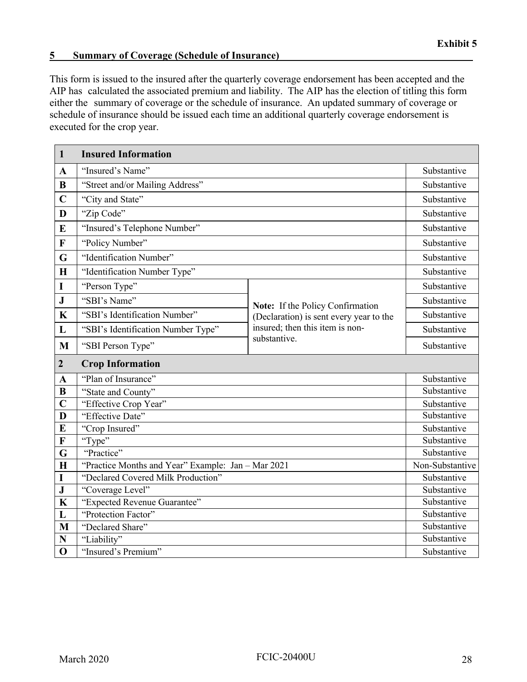#### **5 Summary of Coverage (Schedule of Insurance) \_\_\_\_\_\_\_\_\_\_\_\_\_\_\_\_\_\_\_\_\_\_\_\_\_\_\_\_\_\_\_\_\_\_\_\_\_**

This form is issued to the insured after the quarterly coverage endorsement has been accepted and the AIP has calculated the associated premium and liability. The AIP has the election of titling this form either the summary of coverage or the schedule of insurance. An updated summary of coverage or schedule of insurance should be issued each time an additional quarterly coverage endorsement is executed for the crop year.

| $\mathbf{1}$     | <b>Insured Information</b>                         |                                                                             |                 |
|------------------|----------------------------------------------------|-----------------------------------------------------------------------------|-----------------|
| $\mathbf{A}$     | "Insured's Name"                                   |                                                                             | Substantive     |
| B                | "Street and/or Mailing Address"                    |                                                                             | Substantive     |
| $\overline{C}$   | "City and State"                                   |                                                                             | Substantive     |
| D                | "Zip Code"                                         |                                                                             | Substantive     |
| E                | "Insured's Telephone Number"                       |                                                                             | Substantive     |
| $\mathbf{F}$     | "Policy Number"                                    |                                                                             | Substantive     |
| G                | "Identification Number"                            |                                                                             | Substantive     |
| H                | "Identification Number Type"                       |                                                                             | Substantive     |
| I                | "Person Type"                                      |                                                                             | Substantive     |
| ${\bf J}$        | "SBI's Name"                                       |                                                                             | Substantive     |
| $\mathbf K$      | "SBI's Identification Number"                      | Note: If the Policy Confirmation<br>(Declaration) is sent every year to the | Substantive     |
| L                | "SBI's Identification Number Type"                 | insured; then this item is non-                                             | Substantive     |
| M                | "SBI Person Type"                                  | substantive.                                                                | Substantive     |
|                  |                                                    |                                                                             |                 |
| $\boldsymbol{2}$ | <b>Crop Information</b>                            |                                                                             |                 |
| A                | "Plan of Insurance"                                |                                                                             | Substantive     |
| $\bf{B}$         | "State and County"                                 |                                                                             | Substantive     |
| $\overline{C}$   | "Effective Crop Year"                              |                                                                             | Substantive     |
| D                | "Effective Date"                                   |                                                                             | Substantive     |
| E                | "Crop Insured"                                     |                                                                             | Substantive     |
| $\mathbf F$      | "Type"                                             |                                                                             | Substantive     |
| G                | "Practice"                                         |                                                                             | Substantive     |
| $\mathbf H$      | "Practice Months and Year" Example: Jan - Mar 2021 |                                                                             | Non-Substantive |
| I                | "Declared Covered Milk Production"                 |                                                                             | Substantive     |
| ${\bf J}$        | "Coverage Level"                                   |                                                                             | Substantive     |
| $\mathbf K$      | "Expected Revenue Guarantee"                       |                                                                             | Substantive     |
| L                | "Protection Factor"                                |                                                                             | Substantive     |
| M                | "Declared Share"                                   |                                                                             | Substantive     |
| N                | "Liability"<br>"Insured's Premium"                 |                                                                             | Substantive     |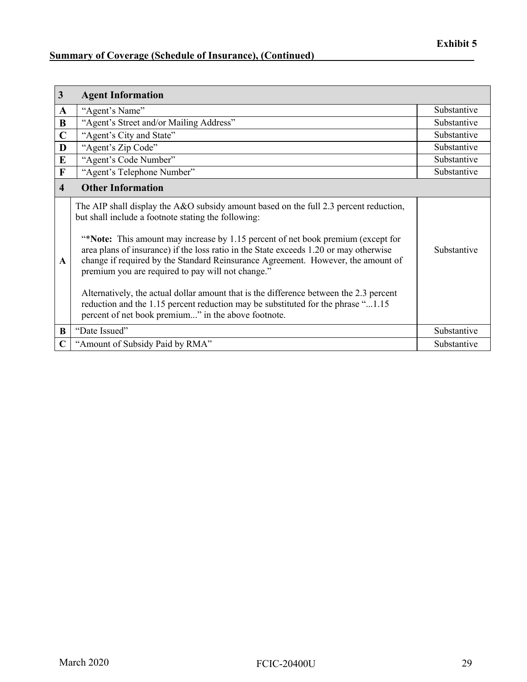### **Summary of Coverage (Schedule of Insurance), (Continued)**

| $\mathbf{3}$            | <b>Agent Information</b>                                                                                                                                                                                                                                                                                                                                                                                                                                                                                                                                                                                                                                                                                |             |
|-------------------------|---------------------------------------------------------------------------------------------------------------------------------------------------------------------------------------------------------------------------------------------------------------------------------------------------------------------------------------------------------------------------------------------------------------------------------------------------------------------------------------------------------------------------------------------------------------------------------------------------------------------------------------------------------------------------------------------------------|-------------|
| A                       | "Agent's Name"                                                                                                                                                                                                                                                                                                                                                                                                                                                                                                                                                                                                                                                                                          | Substantive |
| $\bf{B}$                | "Agent's Street and/or Mailing Address"                                                                                                                                                                                                                                                                                                                                                                                                                                                                                                                                                                                                                                                                 | Substantive |
| $\mathbf C$             | "Agent's City and State"                                                                                                                                                                                                                                                                                                                                                                                                                                                                                                                                                                                                                                                                                | Substantive |
| D                       | "Agent's Zip Code"                                                                                                                                                                                                                                                                                                                                                                                                                                                                                                                                                                                                                                                                                      | Substantive |
| E                       | "Agent's Code Number"                                                                                                                                                                                                                                                                                                                                                                                                                                                                                                                                                                                                                                                                                   | Substantive |
| $\mathbf F$             | "Agent's Telephone Number"                                                                                                                                                                                                                                                                                                                                                                                                                                                                                                                                                                                                                                                                              | Substantive |
| $\overline{\mathbf{4}}$ | <b>Other Information</b>                                                                                                                                                                                                                                                                                                                                                                                                                                                                                                                                                                                                                                                                                |             |
| A                       | The AIP shall display the A&O subsidy amount based on the full 2.3 percent reduction,<br>but shall include a footnote stating the following:<br>"*Note: This amount may increase by 1.15 percent of net book premium (except for<br>area plans of insurance) if the loss ratio in the State exceeds 1.20 or may otherwise<br>change if required by the Standard Reinsurance Agreement. However, the amount of<br>premium you are required to pay will not change."<br>Alternatively, the actual dollar amount that is the difference between the 2.3 percent<br>reduction and the 1.15 percent reduction may be substituted for the phrase "1.15<br>percent of net book premium" in the above footnote. | Substantive |
| B                       | "Date Issued"                                                                                                                                                                                                                                                                                                                                                                                                                                                                                                                                                                                                                                                                                           | Substantive |
| $\mathbf C$             | "Amount of Subsidy Paid by RMA"                                                                                                                                                                                                                                                                                                                                                                                                                                                                                                                                                                                                                                                                         | Substantive |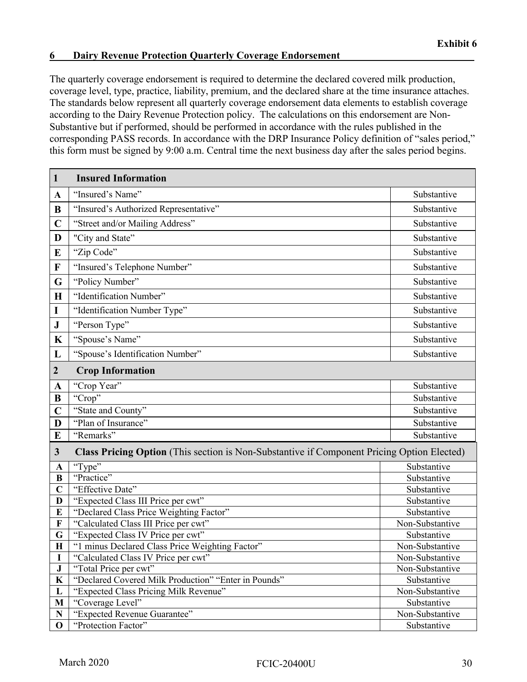The quarterly coverage endorsement is required to determine the declared covered milk production, coverage level, type, practice, liability, premium, and the declared share at the time insurance attaches. The standards below represent all quarterly coverage endorsement data elements to establish coverage according to the Dairy Revenue Protection policy. The calculations on this endorsement are Non-Substantive but if performed, should be performed in accordance with the rules published in the corresponding PASS records. In accordance with the DRP Insurance Policy definition of "sales period," this form must be signed by 9:00 a.m. Central time the next business day after the sales period begins.

| $\mathbf{1}$     | <b>Insured Information</b>                                                                 |                 |
|------------------|--------------------------------------------------------------------------------------------|-----------------|
| $\mathbf A$      | "Insured's Name"                                                                           | Substantive     |
| B                | "Insured's Authorized Representative"                                                      | Substantive     |
| $\mathbf C$      | "Street and/or Mailing Address"                                                            | Substantive     |
| D                | "City and State"                                                                           | Substantive     |
| E                | "Zip Code"                                                                                 | Substantive     |
| $\mathbf F$      | "Insured's Telephone Number"                                                               | Substantive     |
| G                | "Policy Number"                                                                            | Substantive     |
| $\mathbf H$      | "Identification Number"                                                                    | Substantive     |
| $\mathbf I$      |                                                                                            | Substantive     |
|                  | "Identification Number Type"                                                               |                 |
| ${\bf J}$        | "Person Type"                                                                              | Substantive     |
| $\mathbf K$      | "Spouse's Name"                                                                            | Substantive     |
| L                | "Spouse's Identification Number"                                                           | Substantive     |
| $\boldsymbol{2}$ | <b>Crop Information</b>                                                                    |                 |
| $\mathbf A$      | "Crop Year"                                                                                | Substantive     |
| B                | "Crop"                                                                                     | Substantive     |
| $\overline{C}$   | "State and County"                                                                         | Substantive     |
| D                | "Plan of Insurance"                                                                        | Substantive     |
| $\bf{E}$         | "Remarks"                                                                                  | Substantive     |
| $\mathbf{3}$     | Class Pricing Option (This section is Non-Substantive if Component Pricing Option Elected) |                 |
| $\mathbf{A}$     | "Type"                                                                                     | Substantive     |
| $\bf{B}$         | "Practice"                                                                                 | Substantive     |
| $\mathbf C$      | "Effective Date"                                                                           | Substantive     |
| D                | "Expected Class III Price per cwt"                                                         | Substantive     |
| E                | "Declared Class Price Weighting Factor"                                                    | Substantive     |
| F                | "Calculated Class III Price per cwt"                                                       | Non-Substantive |
| G                | "Expected Class IV Price per cwt"                                                          | Substantive     |
| $\mathbf H$      | "1 minus Declared Class Price Weighting Factor"                                            | Non-Substantive |
| 1                | "Calculated Class IV Price per cwt"                                                        | Non-Substantive |
| ${\bf J}$        | "Total Price per cwt"                                                                      | Non-Substantive |
| $\bf K$          | "Declared Covered Milk Production" "Enter in Pounds"                                       | Substantive     |
| L                | "Expected Class Pricing Milk Revenue"                                                      | Non-Substantive |
| M                | "Coverage Level"                                                                           | Substantive     |
| ${\bf N}$        | "Expected Revenue Guarantee"                                                               | Non-Substantive |
| $\mathbf 0$      | "Protection Factor"                                                                        | Substantive     |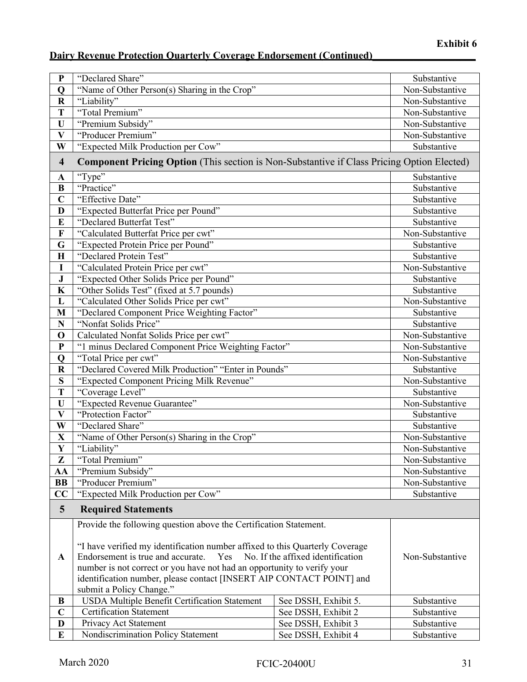| ${\bf P}$               | "Declared Share"                                                                                         |                      | Substantive     |
|-------------------------|----------------------------------------------------------------------------------------------------------|----------------------|-----------------|
| Q                       | "Name of Other Person(s) Sharing in the Crop"                                                            |                      | Non-Substantive |
| $\bf R$                 | "Liability"                                                                                              |                      | Non-Substantive |
| T                       | "Total Premium"                                                                                          |                      | Non-Substantive |
| U                       | "Premium Subsidy"                                                                                        |                      | Non-Substantive |
| $\overline{\mathbf{V}}$ | "Producer Premium"                                                                                       |                      | Non-Substantive |
| W                       | "Expected Milk Production per Cow"                                                                       |                      | Substantive     |
| $\overline{\mathbf{4}}$ | <b>Component Pricing Option</b> (This section is Non-Substantive if Class Pricing Option Elected)        |                      |                 |
| $\mathbf A$             | "Type"                                                                                                   |                      | Substantive     |
| $\bf{B}$                | "Practice"                                                                                               |                      | Substantive     |
| $\overline{C}$          | "Effective Date"                                                                                         |                      | Substantive     |
| D                       | "Expected Butterfat Price per Pound"                                                                     |                      | Substantive     |
| E                       | "Declared Butterfat Test"                                                                                |                      | Substantive     |
| F                       | "Calculated Butterfat Price per cwt"                                                                     |                      | Non-Substantive |
| G                       | "Expected Protein Price per Pound"                                                                       |                      | Substantive     |
| $\mathbf H$             | "Declared Protein Test"                                                                                  |                      | Substantive     |
| I                       | "Calculated Protein Price per cwt"                                                                       |                      | Non-Substantive |
| $\bf J$                 | "Expected Other Solids Price per Pound"                                                                  |                      | Substantive     |
| $\mathbf K$             | "Other Solids Test" (fixed at 5.7 pounds)                                                                |                      | Substantive     |
| L                       | "Calculated Other Solids Price per cwt"                                                                  |                      | Non-Substantive |
| M                       | "Declared Component Price Weighting Factor"                                                              |                      | Substantive     |
| $\overline{\bf N}$      | "Nonfat Solids Price"                                                                                    |                      | Substantive     |
| $\mathbf 0$             | Calculated Nonfat Solids Price per cwt"                                                                  |                      | Non-Substantive |
| ${\bf P}$               | "1 minus Declared Component Price Weighting Factor"                                                      |                      | Non-Substantive |
| $\mathbf Q$             | "Total Price per cwt"                                                                                    |                      | Non-Substantive |
| $\bf R$                 | "Declared Covered Milk Production" "Enter in Pounds"                                                     |                      | Substantive     |
| S                       | "Expected Component Pricing Milk Revenue"                                                                |                      | Non-Substantive |
| T                       | "Coverage Level"                                                                                         |                      | Substantive     |
| U                       | "Expected Revenue Guarantee"                                                                             |                      | Non-Substantive |
| $\overline{\mathbf{V}}$ | "Protection Factor"                                                                                      |                      | Substantive     |
| W                       | "Declared Share"                                                                                         |                      | Substantive     |
| $\overline{\mathbf{X}}$ | "Name of Other Person(s) Sharing in the Crop"                                                            |                      | Non-Substantive |
| Y                       | "Liability"                                                                                              |                      | Non-Substantive |
| Z                       | "Total Premium"                                                                                          |                      | Non-Substantive |
| AA                      | "Premium Subsidy"                                                                                        |                      | Non-Substantive |
| <b>BB</b>               | "Producer Premium"                                                                                       |                      | Non-Substantive |
| CC                      | "Expected Milk Production per Cow"                                                                       |                      | Substantive     |
| $5\overline{)}$         | <b>Required Statements</b>                                                                               |                      |                 |
|                         |                                                                                                          |                      |                 |
|                         | Provide the following question above the Certification Statement.                                        |                      |                 |
|                         | "I have verified my identification number affixed to this Quarterly Coverage                             |                      |                 |
| $\mathbf{A}$            | Endorsement is true and accurate. $\Box$ Yes $\Box$ No. If the affixed identification<br>Non-Substantive |                      |                 |
|                         | number is not correct or you have not had an opportunity to verify your                                  |                      |                 |
|                         | identification number, please contact [INSERT AIP CONTACT POINT] and                                     |                      |                 |
|                         | submit a Policy Change."                                                                                 |                      |                 |
| B                       | USDA Multiple Benefit Certification Statement                                                            | See DSSH, Exhibit 5. | Substantive     |
| $\mathbf C$             | <b>Certification Statement</b>                                                                           | See DSSH, Exhibit 2  | Substantive     |
| $\mathbf D$             | Privacy Act Statement                                                                                    | See DSSH, Exhibit 3  | Substantive     |
| E                       | Nondiscrimination Policy Statement                                                                       | See DSSH, Exhibit 4  | Substantive     |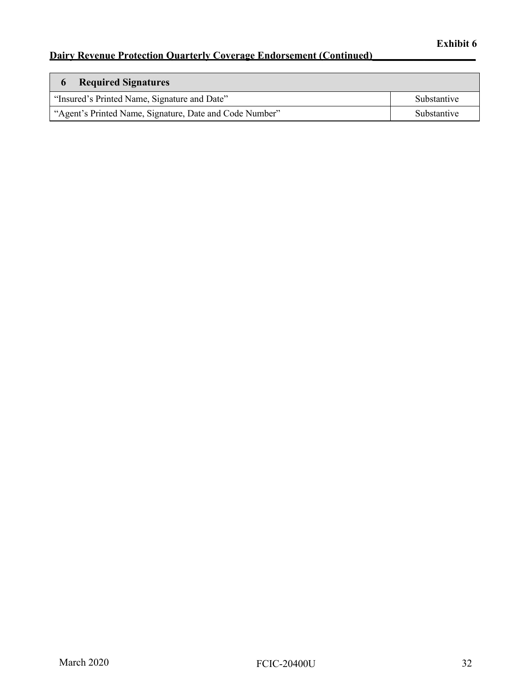| <b>Required Signatures</b>                              |             |
|---------------------------------------------------------|-------------|
| "Insured's Printed Name, Signature and Date"            | Substantive |
| "Agent's Printed Name, Signature, Date and Code Number" | Substantive |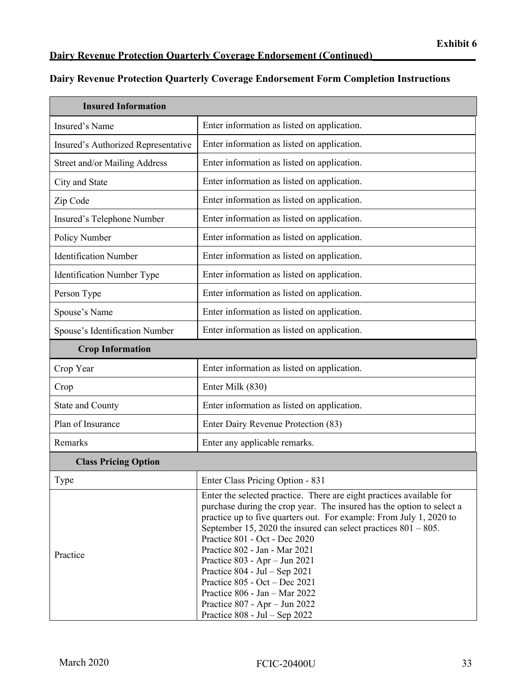### **Dairy Revenue Protection Quarterly Coverage Endorsement Form Completion Instructions**

| <b>Insured Information</b>          |                                                                                                                                                                                                                                                                                                                                                                                                                                                                                                                                                                                        |  |
|-------------------------------------|----------------------------------------------------------------------------------------------------------------------------------------------------------------------------------------------------------------------------------------------------------------------------------------------------------------------------------------------------------------------------------------------------------------------------------------------------------------------------------------------------------------------------------------------------------------------------------------|--|
| Insured's Name                      | Enter information as listed on application.                                                                                                                                                                                                                                                                                                                                                                                                                                                                                                                                            |  |
| Insured's Authorized Representative | Enter information as listed on application.                                                                                                                                                                                                                                                                                                                                                                                                                                                                                                                                            |  |
| Street and/or Mailing Address       | Enter information as listed on application.                                                                                                                                                                                                                                                                                                                                                                                                                                                                                                                                            |  |
| City and State                      | Enter information as listed on application.                                                                                                                                                                                                                                                                                                                                                                                                                                                                                                                                            |  |
| Zip Code                            | Enter information as listed on application.                                                                                                                                                                                                                                                                                                                                                                                                                                                                                                                                            |  |
| Insured's Telephone Number          | Enter information as listed on application.                                                                                                                                                                                                                                                                                                                                                                                                                                                                                                                                            |  |
| Policy Number                       | Enter information as listed on application.                                                                                                                                                                                                                                                                                                                                                                                                                                                                                                                                            |  |
| <b>Identification Number</b>        | Enter information as listed on application.                                                                                                                                                                                                                                                                                                                                                                                                                                                                                                                                            |  |
| Identification Number Type          | Enter information as listed on application.                                                                                                                                                                                                                                                                                                                                                                                                                                                                                                                                            |  |
| Person Type                         | Enter information as listed on application.                                                                                                                                                                                                                                                                                                                                                                                                                                                                                                                                            |  |
| Spouse's Name                       | Enter information as listed on application.                                                                                                                                                                                                                                                                                                                                                                                                                                                                                                                                            |  |
| Spouse's Identification Number      | Enter information as listed on application.                                                                                                                                                                                                                                                                                                                                                                                                                                                                                                                                            |  |
| <b>Crop Information</b>             |                                                                                                                                                                                                                                                                                                                                                                                                                                                                                                                                                                                        |  |
| Crop Year                           | Enter information as listed on application.                                                                                                                                                                                                                                                                                                                                                                                                                                                                                                                                            |  |
| Crop                                | Enter Milk (830)                                                                                                                                                                                                                                                                                                                                                                                                                                                                                                                                                                       |  |
| <b>State and County</b>             | Enter information as listed on application.                                                                                                                                                                                                                                                                                                                                                                                                                                                                                                                                            |  |
| Plan of Insurance                   | Enter Dairy Revenue Protection (83)                                                                                                                                                                                                                                                                                                                                                                                                                                                                                                                                                    |  |
| Remarks                             | Enter any applicable remarks.                                                                                                                                                                                                                                                                                                                                                                                                                                                                                                                                                          |  |
| <b>Class Pricing Option</b>         |                                                                                                                                                                                                                                                                                                                                                                                                                                                                                                                                                                                        |  |
| Type                                | Enter Class Pricing Option - 831                                                                                                                                                                                                                                                                                                                                                                                                                                                                                                                                                       |  |
| Practice                            | Enter the selected practice. There are eight practices available for<br>purchase during the crop year. The insured has the option to select a<br>practice up to five quarters out. For example: From July 1, 2020 to<br>September 15, 2020 the insured can select practices $801 - 805$ .<br>Practice 801 - Oct - Dec 2020<br>Practice 802 - Jan - Mar 2021<br>Practice 803 - Apr - Jun 2021<br>Practice $804 - \text{Jul} - \text{Sep } 2021$<br>Practice $805 - Oct - Dec 2021$<br>Practice 806 - Jan - Mar 2022<br>Practice 807 - Apr - Jun 2022<br>Practice $808$ - Jul – Sep 2022 |  |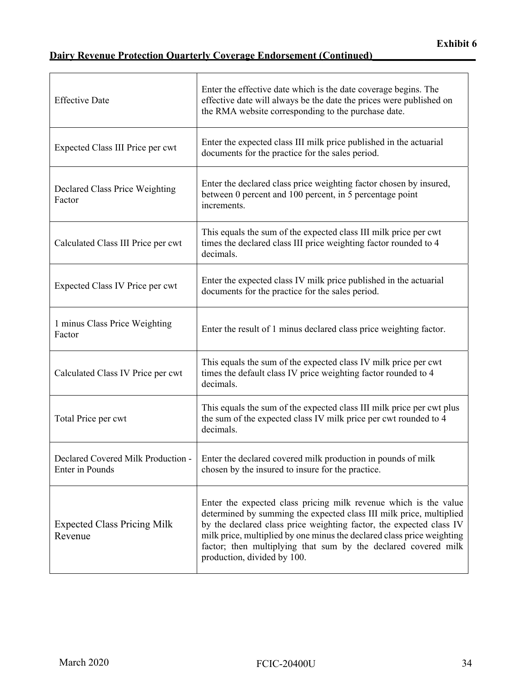| <b>Effective Date</b>                                 | Enter the effective date which is the date coverage begins. The<br>effective date will always be the date the prices were published on<br>the RMA website corresponding to the purchase date.                                                                                                                                                                                             |
|-------------------------------------------------------|-------------------------------------------------------------------------------------------------------------------------------------------------------------------------------------------------------------------------------------------------------------------------------------------------------------------------------------------------------------------------------------------|
| Expected Class III Price per cwt                      | Enter the expected class III milk price published in the actuarial<br>documents for the practice for the sales period.                                                                                                                                                                                                                                                                    |
| Declared Class Price Weighting<br>Factor              | Enter the declared class price weighting factor chosen by insured,<br>between 0 percent and 100 percent, in 5 percentage point<br>increments.                                                                                                                                                                                                                                             |
| Calculated Class III Price per cwt                    | This equals the sum of the expected class III milk price per cwt<br>times the declared class III price weighting factor rounded to 4<br>decimals.                                                                                                                                                                                                                                         |
| Expected Class IV Price per cwt                       | Enter the expected class IV milk price published in the actuarial<br>documents for the practice for the sales period.                                                                                                                                                                                                                                                                     |
| 1 minus Class Price Weighting<br>Factor               | Enter the result of 1 minus declared class price weighting factor.                                                                                                                                                                                                                                                                                                                        |
| Calculated Class IV Price per cwt                     | This equals the sum of the expected class IV milk price per cwt<br>times the default class IV price weighting factor rounded to 4<br>decimals.                                                                                                                                                                                                                                            |
| Total Price per cwt                                   | This equals the sum of the expected class III milk price per cwt plus<br>the sum of the expected class IV milk price per cwt rounded to 4<br>decimals.                                                                                                                                                                                                                                    |
| Declared Covered Milk Production -<br>Enter in Pounds | Enter the declared covered milk production in pounds of milk<br>chosen by the insured to insure for the practice.                                                                                                                                                                                                                                                                         |
| <b>Expected Class Pricing Milk</b><br>Revenue         | Enter the expected class pricing milk revenue which is the value<br>determined by summing the expected class III milk price, multiplied<br>by the declared class price weighting factor, the expected class IV<br>milk price, multiplied by one minus the declared class price weighting<br>factor; then multiplying that sum by the declared covered milk<br>production, divided by 100. |
|                                                       |                                                                                                                                                                                                                                                                                                                                                                                           |
|                                                       |                                                                                                                                                                                                                                                                                                                                                                                           |
| March 2020                                            | 34<br><b>FCIC-20400U</b>                                                                                                                                                                                                                                                                                                                                                                  |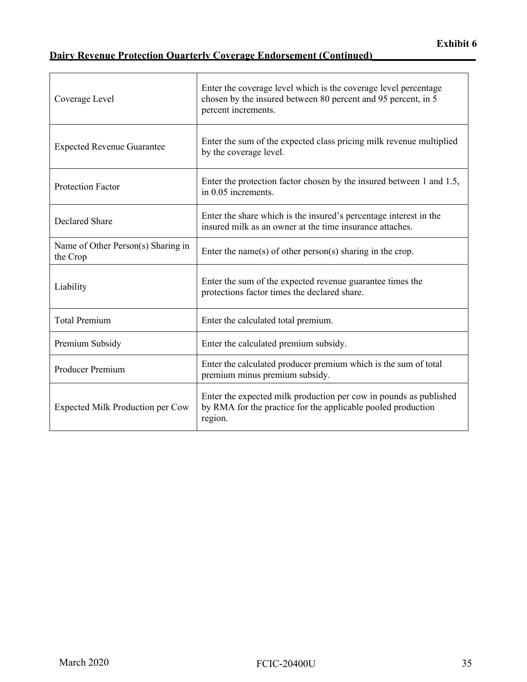| Coverage Level                                 | Enter the coverage level which is the coverage level percentage<br>chosen by the insured between 80 percent and 95 percent, in 5<br>percent increments. |
|------------------------------------------------|---------------------------------------------------------------------------------------------------------------------------------------------------------|
| <b>Expected Revenue Guarantee</b>              | Enter the sum of the expected class pricing milk revenue multiplied<br>by the coverage level.                                                           |
| <b>Protection Factor</b>                       | Enter the protection factor chosen by the insured between 1 and 1.5,<br>in 0.05 increments.                                                             |
| <b>Declared Share</b>                          | Enter the share which is the insured's percentage interest in the<br>insured milk as an owner at the time insurance attaches.                           |
| Name of Other Person(s) Sharing in<br>the Crop | Enter the name(s) of other person(s) sharing in the crop.                                                                                               |
| Liability                                      | Enter the sum of the expected revenue guarantee times the<br>protections factor times the declared share.                                               |
| <b>Total Premium</b>                           | Enter the calculated total premium.                                                                                                                     |
| Premium Subsidy                                | Enter the calculated premium subsidy.                                                                                                                   |
| Producer Premium                               | Enter the calculated producer premium which is the sum of total<br>premium minus premium subsidy.                                                       |
| Expected Milk Production per Cow               | Enter the expected milk production per cow in pounds as published<br>by RMA for the practice for the applicable pooled production<br>region.            |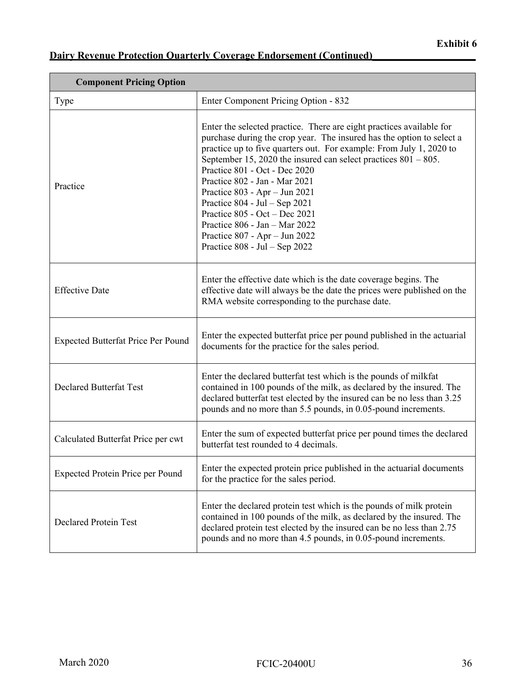| <b>Component Pricing Option</b>           |                                                                                                                                                                                                                                                                                                                                                                                                                                                                                                                                                                                                     |  |
|-------------------------------------------|-----------------------------------------------------------------------------------------------------------------------------------------------------------------------------------------------------------------------------------------------------------------------------------------------------------------------------------------------------------------------------------------------------------------------------------------------------------------------------------------------------------------------------------------------------------------------------------------------------|--|
| Type                                      | Enter Component Pricing Option - 832                                                                                                                                                                                                                                                                                                                                                                                                                                                                                                                                                                |  |
| Practice                                  | Enter the selected practice. There are eight practices available for<br>purchase during the crop year. The insured has the option to select a<br>practice up to five quarters out. For example: From July 1, 2020 to<br>September 15, 2020 the insured can select practices $801 - 805$ .<br>Practice 801 - Oct - Dec 2020<br>Practice 802 - Jan - Mar 2021<br>Practice 803 - Apr - Jun 2021<br>Practice $804 - \text{Jul} - \text{Sep } 2021$<br>Practice 805 - Oct - Dec 2021<br>Practice 806 - Jan - Mar 2022<br>Practice 807 - Apr - Jun 2022<br>Practice $808 - \text{Jul} - \text{Sep } 2022$ |  |
| <b>Effective Date</b>                     | Enter the effective date which is the date coverage begins. The<br>effective date will always be the date the prices were published on the<br>RMA website corresponding to the purchase date.                                                                                                                                                                                                                                                                                                                                                                                                       |  |
| <b>Expected Butterfat Price Per Pound</b> | Enter the expected butterfat price per pound published in the actuarial<br>documents for the practice for the sales period.                                                                                                                                                                                                                                                                                                                                                                                                                                                                         |  |
| <b>Declared Butterfat Test</b>            | Enter the declared butterfat test which is the pounds of milkfat<br>contained in 100 pounds of the milk, as declared by the insured. The<br>declared butterfat test elected by the insured can be no less than 3.25<br>pounds and no more than 5.5 pounds, in 0.05-pound increments.                                                                                                                                                                                                                                                                                                                |  |
| Calculated Butterfat Price per cwt        | Enter the sum of expected butterfat price per pound times the declared<br>butterfat test rounded to 4 decimals.                                                                                                                                                                                                                                                                                                                                                                                                                                                                                     |  |
| <b>Expected Protein Price per Pound</b>   | Enter the expected protein price published in the actuarial documents<br>for the practice for the sales period.                                                                                                                                                                                                                                                                                                                                                                                                                                                                                     |  |
| <b>Declared Protein Test</b>              | Enter the declared protein test which is the pounds of milk protein<br>contained in 100 pounds of the milk, as declared by the insured. The<br>declared protein test elected by the insured can be no less than 2.75<br>pounds and no more than 4.5 pounds, in 0.05-pound increments.                                                                                                                                                                                                                                                                                                               |  |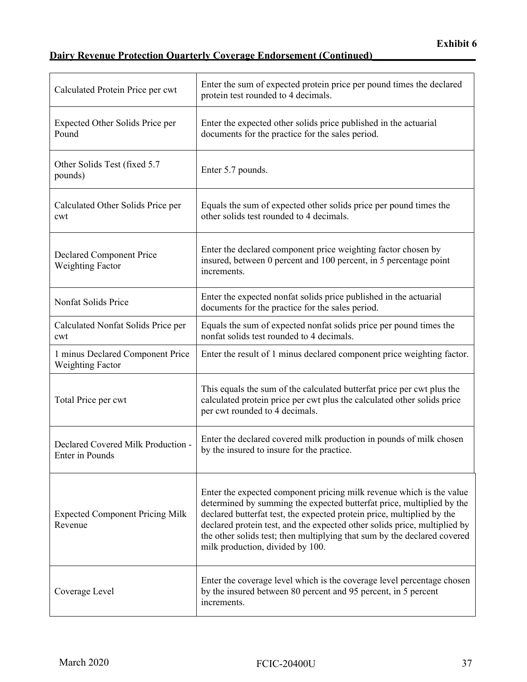| Calculated Protein Price per cwt                            | Enter the sum of expected protein price per pound times the declared<br>protein test rounded to 4 decimals.                                                                                                                                                                                                                                                                                                          |
|-------------------------------------------------------------|----------------------------------------------------------------------------------------------------------------------------------------------------------------------------------------------------------------------------------------------------------------------------------------------------------------------------------------------------------------------------------------------------------------------|
| Expected Other Solids Price per<br>Pound                    | Enter the expected other solids price published in the actuarial<br>documents for the practice for the sales period.                                                                                                                                                                                                                                                                                                 |
| Other Solids Test (fixed 5.7)<br>pounds)                    | Enter 5.7 pounds.                                                                                                                                                                                                                                                                                                                                                                                                    |
| Calculated Other Solids Price per<br>cwt                    | Equals the sum of expected other solids price per pound times the<br>other solids test rounded to 4 decimals.                                                                                                                                                                                                                                                                                                        |
| Declared Component Price<br><b>Weighting Factor</b>         | Enter the declared component price weighting factor chosen by<br>insured, between 0 percent and 100 percent, in 5 percentage point<br>increments.                                                                                                                                                                                                                                                                    |
| Nonfat Solids Price                                         | Enter the expected nonfat solids price published in the actuarial<br>documents for the practice for the sales period.                                                                                                                                                                                                                                                                                                |
| Calculated Nonfat Solids Price per<br>cwt                   | Equals the sum of expected nonfat solids price per pound times the<br>nonfat solids test rounded to 4 decimals.                                                                                                                                                                                                                                                                                                      |
| 1 minus Declared Component Price<br><b>Weighting Factor</b> | Enter the result of 1 minus declared component price weighting factor.                                                                                                                                                                                                                                                                                                                                               |
| Total Price per cwt                                         | This equals the sum of the calculated butterfat price per cwt plus the<br>calculated protein price per cwt plus the calculated other solids price<br>per cwt rounded to 4 decimals.                                                                                                                                                                                                                                  |
| Declared Covered Milk Production -<br>Enter in Pounds       | Enter the declared covered milk production in pounds of milk chosen<br>by the insured to insure for the practice.                                                                                                                                                                                                                                                                                                    |
| <b>Expected Component Pricing Milk</b><br>Revenue           | Enter the expected component pricing milk revenue which is the value<br>determined by summing the expected butterfat price, multiplied by the<br>declared butterfat test, the expected protein price, multiplied by the<br>declared protein test, and the expected other solids price, multiplied by<br>the other solids test; then multiplying that sum by the declared covered<br>milk production, divided by 100. |
| Coverage Level                                              | Enter the coverage level which is the coverage level percentage chosen<br>by the insured between 80 percent and 95 percent, in 5 percent<br>increments.                                                                                                                                                                                                                                                              |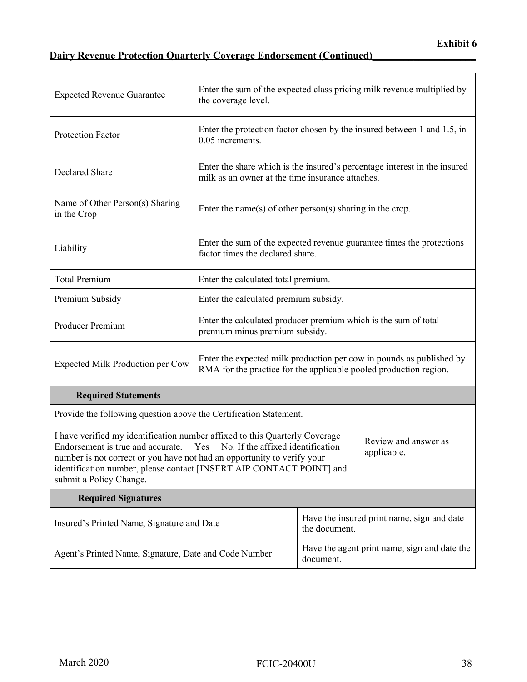| <b>Expected Revenue Guarantee</b>                                                                                                                                                                                                                                                                                                                                 | the coverage level.                                                                                                                       |                                                           | Enter the sum of the expected class pricing milk revenue multiplied by    |
|-------------------------------------------------------------------------------------------------------------------------------------------------------------------------------------------------------------------------------------------------------------------------------------------------------------------------------------------------------------------|-------------------------------------------------------------------------------------------------------------------------------------------|-----------------------------------------------------------|---------------------------------------------------------------------------|
| <b>Protection Factor</b>                                                                                                                                                                                                                                                                                                                                          | 0.05 increments.                                                                                                                          |                                                           | Enter the protection factor chosen by the insured between 1 and 1.5, in   |
| Declared Share                                                                                                                                                                                                                                                                                                                                                    | milk as an owner at the time insurance attaches.                                                                                          |                                                           | Enter the share which is the insured's percentage interest in the insured |
| Name of Other Person(s) Sharing<br>in the Crop                                                                                                                                                                                                                                                                                                                    | Enter the name(s) of other person(s) sharing in the crop.                                                                                 |                                                           |                                                                           |
| Liability                                                                                                                                                                                                                                                                                                                                                         | factor times the declared share.                                                                                                          |                                                           | Enter the sum of the expected revenue guarantee times the protections     |
| <b>Total Premium</b>                                                                                                                                                                                                                                                                                                                                              |                                                                                                                                           | Enter the calculated total premium.                       |                                                                           |
| Premium Subsidy                                                                                                                                                                                                                                                                                                                                                   | Enter the calculated premium subsidy.                                                                                                     |                                                           |                                                                           |
| Producer Premium                                                                                                                                                                                                                                                                                                                                                  | Enter the calculated producer premium which is the sum of total<br>premium minus premium subsidy.                                         |                                                           |                                                                           |
| Expected Milk Production per Cow                                                                                                                                                                                                                                                                                                                                  | Enter the expected milk production per cow in pounds as published by<br>RMA for the practice for the applicable pooled production region. |                                                           |                                                                           |
| <b>Required Statements</b>                                                                                                                                                                                                                                                                                                                                        |                                                                                                                                           |                                                           |                                                                           |
| Provide the following question above the Certification Statement.                                                                                                                                                                                                                                                                                                 |                                                                                                                                           |                                                           |                                                                           |
| I have verified my identification number affixed to this Quarterly Coverage<br>Endorsement is true and accurate. $\Box$ Yes $\Box$ No. If the affixed identification<br>applicable.<br>number is not correct or you have not had an opportunity to verify your<br>identification number, please contact [INSERT AIP CONTACT POINT] and<br>submit a Policy Change. |                                                                                                                                           | Review and answer as                                      |                                                                           |
| <b>Required Signatures</b>                                                                                                                                                                                                                                                                                                                                        |                                                                                                                                           |                                                           |                                                                           |
| Insured's Printed Name, Signature and Date                                                                                                                                                                                                                                                                                                                        |                                                                                                                                           | the document.                                             | Have the insured print name, sign and date                                |
| Agent's Printed Name, Signature, Date and Code Number                                                                                                                                                                                                                                                                                                             |                                                                                                                                           | Have the agent print name, sign and date the<br>document. |                                                                           |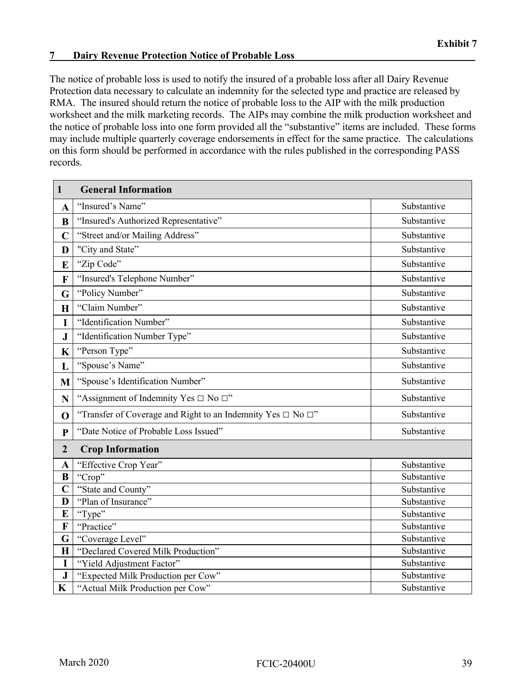#### **7**  Dairy Revenue Protection Notice of Probable Loss

 The notice of probable loss is used to notify the insured of a probable loss after all Dairy Revenue Protection data necessary to calculate an indemnity for the selected type and practice are released by RMA. The insured should return the notice of probable loss to the AIP with the milk production worksheet and the milk marketing records. The AIPs may combine the milk production worksheet and the notice of probable loss into one form provided all the "substantive" items are included. These forms may include multiple quarterly coverage endorsements in effect for the same practice. The calculations on this form should be performed in accordance with the rules published in the corresponding PASS records.

| $\mathbf{1}$   | <b>General Information</b>                                             |             |
|----------------|------------------------------------------------------------------------|-------------|
| $\mathbf A$    | "Insured's Name"                                                       | Substantive |
| B              | "Insured's Authorized Representative"                                  | Substantive |
| $\overline{C}$ | "Street and/or Mailing Address"                                        | Substantive |
| D              | "City and State"                                                       | Substantive |
| E              | "Zip Code"                                                             | Substantive |
| F              | "Insured's Telephone Number"                                           | Substantive |
| G              | "Policy Number"                                                        | Substantive |
| $\mathbf H$    | "Claim Number"                                                         | Substantive |
| I              | "Identification Number"                                                | Substantive |
| ${\bf J}$      | "Identification Number Type"                                           | Substantive |
| K              | "Person Type"                                                          | Substantive |
| L              | "Spouse's Name"                                                        | Substantive |
| M              | "Spouse's Identification Number"                                       | Substantive |
| N              | "Assignment of Indemnity Yes $\Box$ No $\Box$ "                        | Substantive |
| $\mathbf 0$    | "Transfer of Coverage and Right to an Indemnity Yes $\Box$ No $\Box$ " | Substantive |
| $\mathbf{P}$   | "Date Notice of Probable Loss Issued"                                  | Substantive |
| $\overline{2}$ | <b>Crop Information</b>                                                |             |
| A              | "Effective Crop Year"                                                  | Substantive |
| $\bf{B}$       | "Crop"                                                                 | Substantive |
| $\overline{C}$ | "State and County"                                                     | Substantive |
| D              | "Plan of Insurance"                                                    | Substantive |
| E              | "Type"                                                                 | Substantive |
| F              | "Practice"                                                             | Substantive |
| G              | "Coverage Level"                                                       | Substantive |
| $\mathbf H$    | "Declared Covered Milk Production"                                     | Substantive |
| I              | "Yield Adjustment Factor"                                              | Substantive |
| ${\bf J}$      | "Expected Milk Production per Cow"                                     | Substantive |
| $\mathbf K$    | "Actual Milk Production per Cow"                                       | Substantive |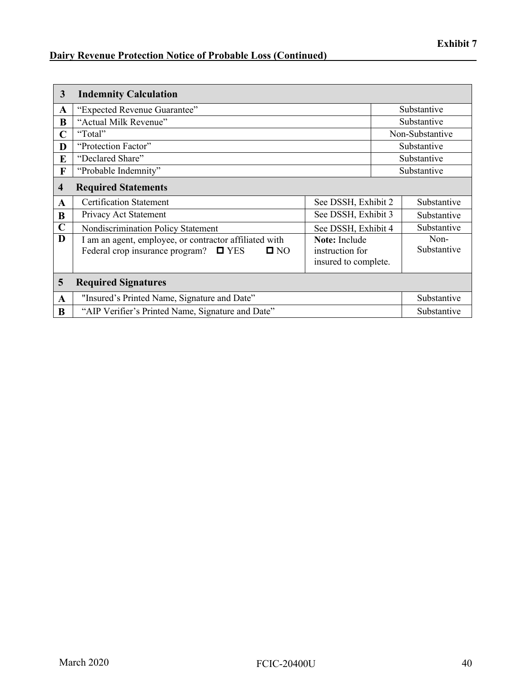### **Dairy Revenue Protection Notice of Probable Loss (Continued)\_\_\_\_\_\_\_\_\_\_\_\_\_\_\_\_\_\_\_\_\_\_\_\_\_\_\_\_\_**

| 3           | <b>Indemnity Calculation</b>                                                                                               |                                                                 |                     |
|-------------|----------------------------------------------------------------------------------------------------------------------------|-----------------------------------------------------------------|---------------------|
| A           | "Expected Revenue Guarantee"                                                                                               |                                                                 | Substantive         |
| B           | "Actual Milk Revenue"                                                                                                      |                                                                 | Substantive         |
| C           | "Total"                                                                                                                    |                                                                 | Non-Substantive     |
| D           | "Protection Factor"                                                                                                        |                                                                 | Substantive         |
| E           | "Declared Share"                                                                                                           |                                                                 | Substantive         |
| F           | "Probable Indemnity"                                                                                                       |                                                                 | Substantive         |
| 4           | <b>Required Statements</b>                                                                                                 |                                                                 |                     |
| A           | <b>Certification Statement</b>                                                                                             | See DSSH, Exhibit 2                                             | Substantive         |
| B           | Privacy Act Statement                                                                                                      | See DSSH, Exhibit 3                                             | Substantive         |
| $\mathbf C$ | Nondiscrimination Policy Statement                                                                                         | See DSSH, Exhibit 4                                             | Substantive         |
| D           | I am an agent, employee, or contractor affiliated with<br>Federal crop insurance program?<br>$\square$ YES<br>$\square$ NO | <b>Note:</b> Include<br>instruction for<br>insured to complete. | Non-<br>Substantive |
| 5           | <b>Required Signatures</b>                                                                                                 |                                                                 |                     |
| A           | "Insured's Printed Name, Signature and Date"                                                                               |                                                                 | Substantive         |
| B           | "AIP Verifier's Printed Name, Signature and Date"                                                                          |                                                                 | Substantive         |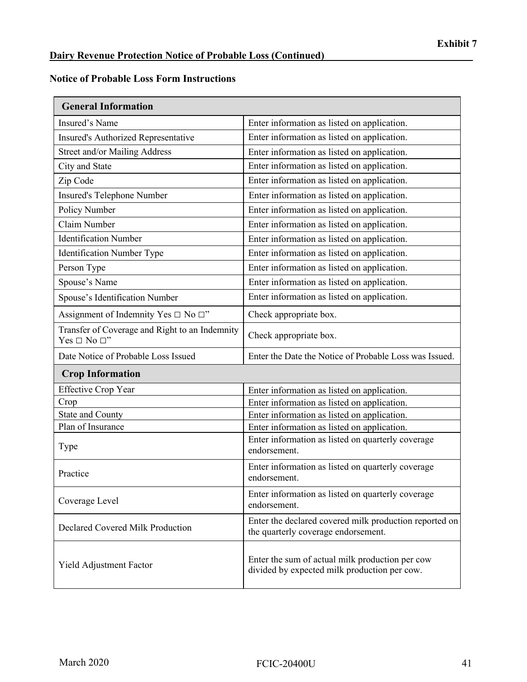#### **Notice of Probable Loss Form Instructions**

| <b>General Information</b>                                               |                                                                                                 |
|--------------------------------------------------------------------------|-------------------------------------------------------------------------------------------------|
| Insured's Name                                                           | Enter information as listed on application.                                                     |
| Insured's Authorized Representative                                      | Enter information as listed on application.                                                     |
| Street and/or Mailing Address                                            | Enter information as listed on application.                                                     |
| City and State                                                           | Enter information as listed on application.                                                     |
| Zip Code                                                                 | Enter information as listed on application.                                                     |
| Insured's Telephone Number                                               | Enter information as listed on application.                                                     |
| Policy Number                                                            | Enter information as listed on application.                                                     |
| Claim Number                                                             | Enter information as listed on application.                                                     |
| <b>Identification Number</b>                                             | Enter information as listed on application.                                                     |
| Identification Number Type                                               | Enter information as listed on application.                                                     |
| Person Type                                                              | Enter information as listed on application.                                                     |
| Spouse's Name                                                            | Enter information as listed on application.                                                     |
| Spouse's Identification Number                                           | Enter information as listed on application.                                                     |
| Assignment of Indemnity Yes $\Box$ No $\Box$ "                           | Check appropriate box.                                                                          |
| Transfer of Coverage and Right to an Indemnity<br>Yes $\Box$ No $\Box$ " | Check appropriate box.                                                                          |
| Date Notice of Probable Loss Issued                                      | Enter the Date the Notice of Probable Loss was Issued.                                          |
| <b>Crop Information</b>                                                  |                                                                                                 |
| <b>Effective Crop Year</b>                                               | Enter information as listed on application.                                                     |
| Crop                                                                     | Enter information as listed on application.                                                     |
| State and County                                                         | Enter information as listed on application.                                                     |
| Plan of Insurance                                                        | Enter information as listed on application.                                                     |
| Type                                                                     | Enter information as listed on quarterly coverage<br>endorsement.                               |
| Practice                                                                 | Enter information as listed on quarterly coverage<br>endorsement.                               |
| Coverage Level                                                           | Enter information as listed on quarterly coverage<br>endorsement.                               |
| Declared Covered Milk Production                                         | Enter the declared covered milk production reported on<br>the quarterly coverage endorsement.   |
| Yield Adjustment Factor                                                  | Enter the sum of actual milk production per cow<br>divided by expected milk production per cow. |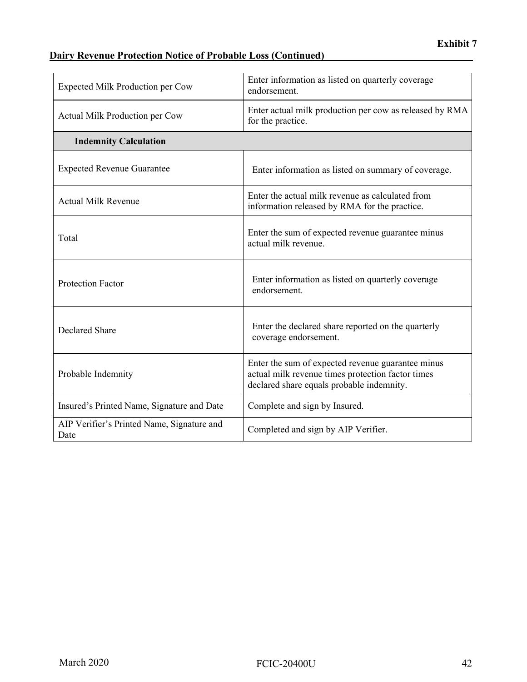### **Dairy Revenue Protection Notice of Probable Loss (Continued)\_\_\_\_\_\_\_\_\_\_\_\_\_\_\_\_\_\_\_\_\_\_\_\_\_\_\_\_\_**

| Expected Milk Production per Cow                   | Enter information as listed on quarterly coverage<br>endorsement.                                                                                   |
|----------------------------------------------------|-----------------------------------------------------------------------------------------------------------------------------------------------------|
| Actual Milk Production per Cow                     | Enter actual milk production per cow as released by RMA<br>for the practice.                                                                        |
| <b>Indemnity Calculation</b>                       |                                                                                                                                                     |
| <b>Expected Revenue Guarantee</b>                  | Enter information as listed on summary of coverage.                                                                                                 |
| <b>Actual Milk Revenue</b>                         | Enter the actual milk revenue as calculated from<br>information released by RMA for the practice.                                                   |
| Total                                              | Enter the sum of expected revenue guarantee minus<br>actual milk revenue.                                                                           |
| <b>Protection Factor</b>                           | Enter information as listed on quarterly coverage<br>endorsement.                                                                                   |
| <b>Declared Share</b>                              | Enter the declared share reported on the quarterly<br>coverage endorsement.                                                                         |
| Probable Indemnity                                 | Enter the sum of expected revenue guarantee minus<br>actual milk revenue times protection factor times<br>declared share equals probable indemnity. |
| Insured's Printed Name, Signature and Date         | Complete and sign by Insured.                                                                                                                       |
| AIP Verifier's Printed Name, Signature and<br>Date | Completed and sign by AIP Verifier.                                                                                                                 |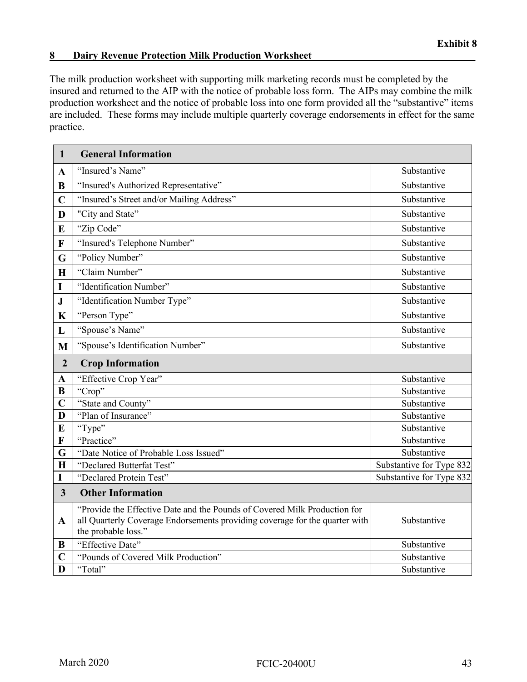#### **8 Dairy Revenue Protection Milk Production Worksheet**

The milk production worksheet with supporting milk marketing records must be completed by the insured and returned to the AIP with the notice of probable loss form. The AIPs may combine the milk production worksheet and the notice of probable loss into one form provided all the "substantive" items are included. These forms may include multiple quarterly coverage endorsements in effect for the same practice.

| $\mathbf{1}$            | <b>General Information</b>                                                                                                                                                      |                          |
|-------------------------|---------------------------------------------------------------------------------------------------------------------------------------------------------------------------------|--------------------------|
| $\mathbf{A}$            | "Insured's Name"                                                                                                                                                                | Substantive              |
| B                       | "Insured's Authorized Representative"                                                                                                                                           | Substantive              |
| $\mathbf C$             | "Insured's Street and/or Mailing Address"                                                                                                                                       | Substantive              |
| D                       | "City and State"                                                                                                                                                                | Substantive              |
| E                       | "Zip Code"                                                                                                                                                                      | Substantive              |
| $\mathbf F$             | "Insured's Telephone Number"                                                                                                                                                    | Substantive              |
| G                       | "Policy Number"                                                                                                                                                                 | Substantive              |
| $\mathbf H$             | "Claim Number"                                                                                                                                                                  | Substantive              |
| I                       | "Identification Number"                                                                                                                                                         | Substantive              |
| ${\bf J}$               | "Identification Number Type"                                                                                                                                                    | Substantive              |
| $\mathbf K$             | "Person Type"                                                                                                                                                                   | Substantive              |
| L                       | "Spouse's Name"                                                                                                                                                                 | Substantive              |
| M                       | "Spouse's Identification Number"                                                                                                                                                | Substantive              |
| $\overline{2}$          | <b>Crop Information</b>                                                                                                                                                         |                          |
| $\mathbf A$             | "Effective Crop Year"                                                                                                                                                           | Substantive              |
| $\bf{B}$                | "Crop"                                                                                                                                                                          | Substantive              |
| $\mathbf C$             | "State and County"                                                                                                                                                              | Substantive              |
| D                       | "Plan of Insurance"                                                                                                                                                             | Substantive              |
| E                       | "Type"                                                                                                                                                                          | Substantive              |
| $\mathbf F$             | "Practice"                                                                                                                                                                      | Substantive              |
| G                       | "Date Notice of Probable Loss Issued"                                                                                                                                           | Substantive              |
| $\bf H$                 | "Declared Butterfat Test"                                                                                                                                                       | Substantive for Type 832 |
| I                       | "Declared Protein Test"                                                                                                                                                         | Substantive for Type 832 |
| $\overline{\mathbf{3}}$ | <b>Other Information</b>                                                                                                                                                        |                          |
| A                       | "Provide the Effective Date and the Pounds of Covered Milk Production for<br>all Quarterly Coverage Endorsements providing coverage for the quarter with<br>the probable loss." | Substantive              |
| B                       | "Effective Date"                                                                                                                                                                | Substantive              |
| C                       | "Pounds of Covered Milk Production"                                                                                                                                             | Substantive              |
| D                       | "Total"                                                                                                                                                                         | Substantive              |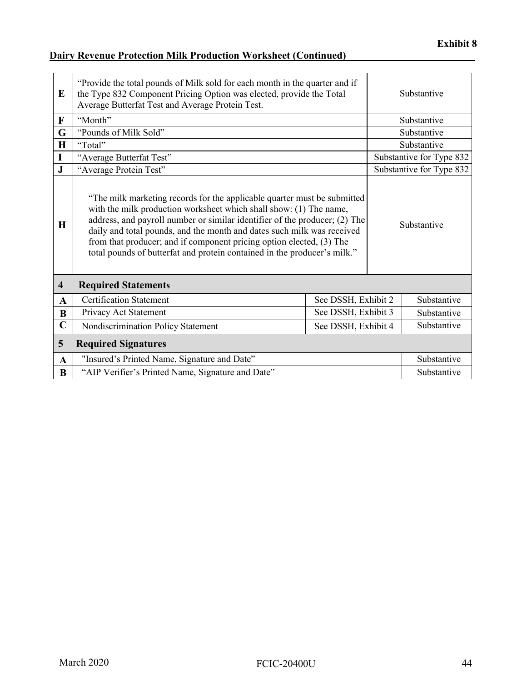### **Dairy Revenue Protection Milk Production Worksheet (Continued)\_\_\_\_\_\_\_\_\_\_\_\_\_\_\_\_\_\_\_\_\_\_\_\_\_**

| E                       | "Provide the total pounds of Milk sold for each month in the quarter and if<br>the Type 832 Component Pricing Option was elected, provide the Total<br>Average Butterfat Test and Average Protein Test.                                                                                                                                                                                                                                                    |                     | Substantive              |
|-------------------------|------------------------------------------------------------------------------------------------------------------------------------------------------------------------------------------------------------------------------------------------------------------------------------------------------------------------------------------------------------------------------------------------------------------------------------------------------------|---------------------|--------------------------|
| $\mathbf{F}$            | "Month"                                                                                                                                                                                                                                                                                                                                                                                                                                                    |                     | Substantive              |
| G                       | "Pounds of Milk Sold"                                                                                                                                                                                                                                                                                                                                                                                                                                      |                     | Substantive              |
| $\mathbf H$             | "Total"                                                                                                                                                                                                                                                                                                                                                                                                                                                    |                     | Substantive              |
| I                       | "Average Butterfat Test"                                                                                                                                                                                                                                                                                                                                                                                                                                   |                     | Substantive for Type 832 |
| ${\bf J}$               | "Average Protein Test"                                                                                                                                                                                                                                                                                                                                                                                                                                     |                     | Substantive for Type 832 |
| H                       | "The milk marketing records for the applicable quarter must be submitted<br>with the milk production worksheet which shall show: (1) The name,<br>address, and payroll number or similar identifier of the producer; (2) The<br>daily and total pounds, and the month and dates such milk was received<br>from that producer; and if component pricing option elected, (3) The<br>total pounds of butterfat and protein contained in the producer's milk." |                     | Substantive              |
| $\overline{\mathbf{4}}$ | <b>Required Statements</b>                                                                                                                                                                                                                                                                                                                                                                                                                                 |                     |                          |
| $\mathbf{A}$            | <b>Certification Statement</b>                                                                                                                                                                                                                                                                                                                                                                                                                             | See DSSH, Exhibit 2 | Substantive              |
| B                       | Privacy Act Statement                                                                                                                                                                                                                                                                                                                                                                                                                                      | See DSSH, Exhibit 3 | Substantive              |
| $\overline{\mathbf{C}}$ | Nondiscrimination Policy Statement                                                                                                                                                                                                                                                                                                                                                                                                                         | See DSSH, Exhibit 4 | Substantive              |
| 5                       | <b>Required Signatures</b>                                                                                                                                                                                                                                                                                                                                                                                                                                 |                     |                          |
| $\mathbf{A}$            | "Insured's Printed Name, Signature and Date"                                                                                                                                                                                                                                                                                                                                                                                                               |                     | Substantive              |
| B                       | "AIP Verifier's Printed Name, Signature and Date"                                                                                                                                                                                                                                                                                                                                                                                                          |                     | Substantive              |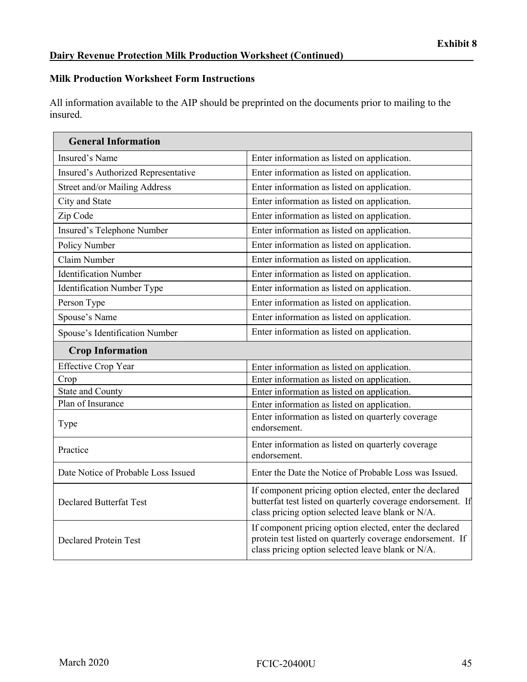#### **Milk Production Worksheet Form Instructions**

All information available to the AIP should be preprinted on the documents prior to mailing to the insured.

| <b>General Information</b>          |                                                                                                                                                                             |
|-------------------------------------|-----------------------------------------------------------------------------------------------------------------------------------------------------------------------------|
| Insured's Name                      | Enter information as listed on application.                                                                                                                                 |
| Insured's Authorized Representative | Enter information as listed on application.                                                                                                                                 |
| Street and/or Mailing Address       | Enter information as listed on application.                                                                                                                                 |
| City and State                      | Enter information as listed on application.                                                                                                                                 |
| Zip Code                            | Enter information as listed on application.                                                                                                                                 |
| Insured's Telephone Number          | Enter information as listed on application.                                                                                                                                 |
| Policy Number                       | Enter information as listed on application.                                                                                                                                 |
| Claim Number                        | Enter information as listed on application.                                                                                                                                 |
| <b>Identification Number</b>        | Enter information as listed on application.                                                                                                                                 |
| <b>Identification Number Type</b>   | Enter information as listed on application.                                                                                                                                 |
| Person Type                         | Enter information as listed on application.                                                                                                                                 |
| Spouse's Name                       | Enter information as listed on application.                                                                                                                                 |
| Spouse's Identification Number      | Enter information as listed on application.                                                                                                                                 |
| <b>Crop Information</b>             |                                                                                                                                                                             |
| <b>Effective Crop Year</b>          | Enter information as listed on application.                                                                                                                                 |
| Crop                                | Enter information as listed on application.                                                                                                                                 |
| <b>State and County</b>             | Enter information as listed on application.                                                                                                                                 |
| Plan of Insurance                   | Enter information as listed on application.                                                                                                                                 |
| Type                                | Enter information as listed on quarterly coverage<br>endorsement.                                                                                                           |
| Practice                            | Enter information as listed on quarterly coverage<br>endorsement.                                                                                                           |
| Date Notice of Probable Loss Issued | Enter the Date the Notice of Probable Loss was Issued.                                                                                                                      |
| <b>Declared Butterfat Test</b>      | If component pricing option elected, enter the declared<br>butterfat test listed on quarterly coverage endorsement. If<br>class pricing option selected leave blank or N/A. |
| <b>Declared Protein Test</b>        | If component pricing option elected, enter the declared<br>protein test listed on quarterly coverage endorsement. If<br>class pricing option selected leave blank or N/A.   |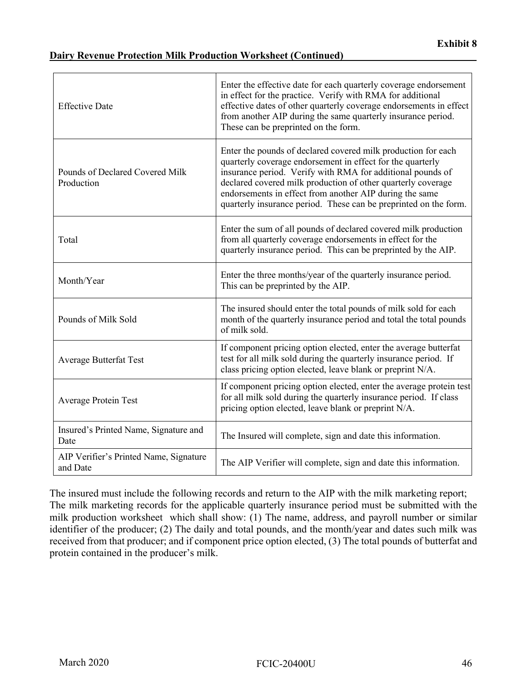#### **Dairy Revenue Protection Milk Production Worksheet (Continued)**

| <b>Effective Date</b>                              | Enter the effective date for each quarterly coverage endorsement<br>in effect for the practice. Verify with RMA for additional<br>effective dates of other quarterly coverage endorsements in effect<br>from another AIP during the same quarterly insurance period.<br>These can be preprinted on the form.                                                                             |
|----------------------------------------------------|------------------------------------------------------------------------------------------------------------------------------------------------------------------------------------------------------------------------------------------------------------------------------------------------------------------------------------------------------------------------------------------|
| Pounds of Declared Covered Milk<br>Production      | Enter the pounds of declared covered milk production for each<br>quarterly coverage endorsement in effect for the quarterly<br>insurance period. Verify with RMA for additional pounds of<br>declared covered milk production of other quarterly coverage<br>endorsements in effect from another AIP during the same<br>quarterly insurance period. These can be preprinted on the form. |
| Total                                              | Enter the sum of all pounds of declared covered milk production<br>from all quarterly coverage endorsements in effect for the<br>quarterly insurance period. This can be preprinted by the AIP.                                                                                                                                                                                          |
| Month/Year                                         | Enter the three months/year of the quarterly insurance period.<br>This can be preprinted by the AIP.                                                                                                                                                                                                                                                                                     |
| Pounds of Milk Sold                                | The insured should enter the total pounds of milk sold for each<br>month of the quarterly insurance period and total the total pounds<br>of milk sold.                                                                                                                                                                                                                                   |
| <b>Average Butterfat Test</b>                      | If component pricing option elected, enter the average butterfat<br>test for all milk sold during the quarterly insurance period. If<br>class pricing option elected, leave blank or preprint N/A.                                                                                                                                                                                       |
| <b>Average Protein Test</b>                        | If component pricing option elected, enter the average protein test<br>for all milk sold during the quarterly insurance period. If class<br>pricing option elected, leave blank or preprint N/A.                                                                                                                                                                                         |
| Insured's Printed Name, Signature and<br>Date      | The Insured will complete, sign and date this information.                                                                                                                                                                                                                                                                                                                               |
| AIP Verifier's Printed Name, Signature<br>and Date | The AIP Verifier will complete, sign and date this information.                                                                                                                                                                                                                                                                                                                          |

The insured must include the following records and return to the AIP with the milk marketing report; The milk marketing records for the applicable quarterly insurance period must be submitted with the milk production worksheet which shall show: (1) The name, address, and payroll number or similar identifier of the producer; (2) The daily and total pounds, and the month/year and dates such milk was received from that producer; and if component price option elected, (3) The total pounds of butterfat and protein contained in the producer's milk.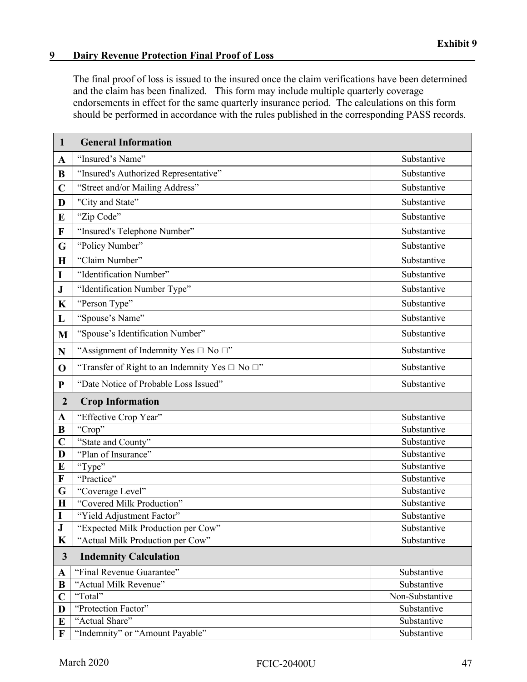#### **9**  Dairy Revenue Protection Final Proof of Loss

The final proof of loss is issued to the insured once the claim verifications have been determined and the claim has been finalized. This form may include multiple quarterly coverage endorsements in effect for the same quarterly insurance period. The calculations on this form should be performed in accordance with the rules published in the corresponding PASS records.

| $\mathbf{1}$   | <b>General Information</b>                                |                 |
|----------------|-----------------------------------------------------------|-----------------|
| $\mathbf A$    | "Insured's Name"                                          | Substantive     |
| B              | "Insured's Authorized Representative"                     | Substantive     |
| $\mathbf C$    | "Street and/or Mailing Address"                           | Substantive     |
| D              | "City and State"                                          | Substantive     |
| E              | "Zip Code"                                                | Substantive     |
| $\mathbf F$    | "Insured's Telephone Number"                              | Substantive     |
| G              | "Policy Number"                                           | Substantive     |
| H              | "Claim Number"                                            | Substantive     |
| I              | "Identification Number"                                   | Substantive     |
| ${\bf J}$      | "Identification Number Type"                              | Substantive     |
| $\mathbf K$    | "Person Type"                                             | Substantive     |
| L              | "Spouse's Name"                                           | Substantive     |
| M              | "Spouse's Identification Number"                          | Substantive     |
| $\mathbf N$    | "Assignment of Indemnity Yes $\Box$ No $\Box$ "           | Substantive     |
| $\mathbf 0$    | "Transfer of Right to an Indemnity Yes $\Box$ No $\Box$ " | Substantive     |
| ${\bf P}$      | "Date Notice of Probable Loss Issued"                     | Substantive     |
| $\overline{2}$ | <b>Crop Information</b>                                   |                 |
| $\mathbf{A}$   | "Effective Crop Year"                                     | Substantive     |
| B              | "Crop"                                                    | Substantive     |
| $\mathbf C$    | "State and County"                                        | Substantive     |
| D              | "Plan of Insurance"                                       | Substantive     |
| E              | "Type"                                                    | Substantive     |
| $\mathbf F$    | "Practice"                                                | Substantive     |
| G              | "Coverage Level"                                          | Substantive     |
| $\mathbf H$    | "Covered Milk Production"                                 | Substantive     |
| $\mathbf I$    | "Yield Adjustment Factor"                                 | Substantive     |
| ${\bf J}$      | "Expected Milk Production per Cow"                        | Substantive     |
| $\mathbf K$    | "Actual Milk Production per Cow"                          | Substantive     |
| $\mathbf{3}$   | <b>Indemnity Calculation</b>                              |                 |
| $\mathbf A$    | "Final Revenue Guarantee"                                 | Substantive     |
| B              | "Actual Milk Revenue"                                     | Substantive     |
| $\mathbf C$    | "Total"                                                   | Non-Substantive |
| D              | "Protection Factor"                                       | Substantive     |
| E              | "Actual Share"                                            | Substantive     |
| F              | "Indemnity" or "Amount Payable"                           | Substantive     |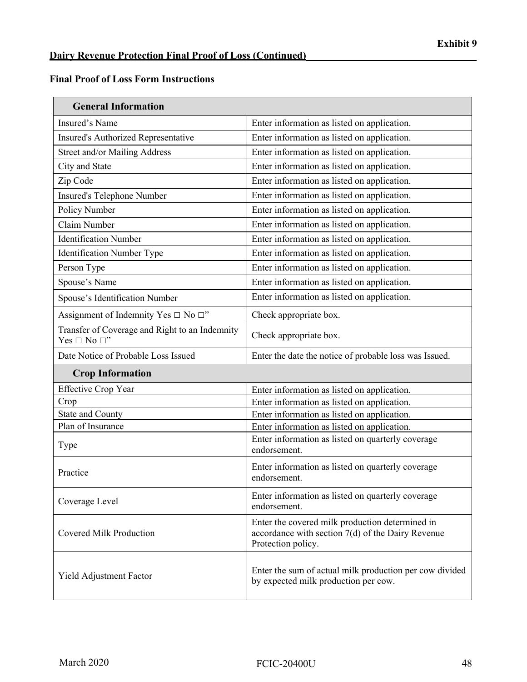$\overline{\phantom{0}}$ 

| <b>General Information</b>                                               |                                                                                                                            |
|--------------------------------------------------------------------------|----------------------------------------------------------------------------------------------------------------------------|
| Insured's Name                                                           | Enter information as listed on application.                                                                                |
| Insured's Authorized Representative                                      | Enter information as listed on application.                                                                                |
| Street and/or Mailing Address                                            | Enter information as listed on application.                                                                                |
| City and State                                                           | Enter information as listed on application.                                                                                |
| Zip Code                                                                 | Enter information as listed on application.                                                                                |
| Insured's Telephone Number                                               | Enter information as listed on application.                                                                                |
| Policy Number                                                            | Enter information as listed on application.                                                                                |
| Claim Number                                                             | Enter information as listed on application.                                                                                |
| <b>Identification Number</b>                                             | Enter information as listed on application.                                                                                |
| Identification Number Type                                               | Enter information as listed on application.                                                                                |
| Person Type                                                              | Enter information as listed on application.                                                                                |
| Spouse's Name                                                            | Enter information as listed on application.                                                                                |
| Spouse's Identification Number                                           | Enter information as listed on application.                                                                                |
| Assignment of Indemnity Yes $\Box$ No $\Box$ "                           | Check appropriate box.                                                                                                     |
| Transfer of Coverage and Right to an Indemnity<br>Yes $\Box$ No $\Box$ " | Check appropriate box.                                                                                                     |
| Date Notice of Probable Loss Issued                                      | Enter the date the notice of probable loss was Issued.                                                                     |
| <b>Crop Information</b>                                                  |                                                                                                                            |
| <b>Effective Crop Year</b>                                               | Enter information as listed on application.                                                                                |
| Crop                                                                     | Enter information as listed on application.                                                                                |
| <b>State and County</b>                                                  | Enter information as listed on application.                                                                                |
| Plan of Insurance                                                        | Enter information as listed on application.                                                                                |
| Type                                                                     | Enter information as listed on quarterly coverage<br>endorsement.                                                          |
| Practice                                                                 | Enter information as listed on quarterly coverage<br>endorsement.                                                          |
| Coverage Level                                                           | Enter information as listed on quarterly coverage<br>endorsement.                                                          |
| Covered Milk Production                                                  | Enter the covered milk production determined in<br>accordance with section 7(d) of the Dairy Revenue<br>Protection policy. |
| Yield Adjustment Factor                                                  | Enter the sum of actual milk production per cow divided<br>by expected milk production per cow.                            |